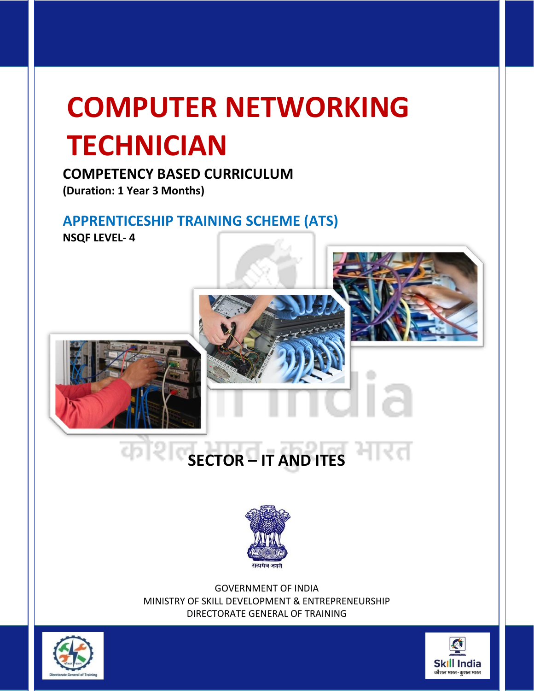# **COMPETENCY BASED CURRICULUM**

**(Duration: 1 Year 3 Months)**

# **APPRENTICESHIP TRAINING SCHEME (ATS)**

**NSQF LEVEL- 4**

# **SECTOR – IT AND ITES** मारत



GOVERNMENT OF INDIA MINISTRY OF SKILL DEVELOPMENT & ENTREPRENEURSHIP DIRECTORATE GENERAL OF TRAINING



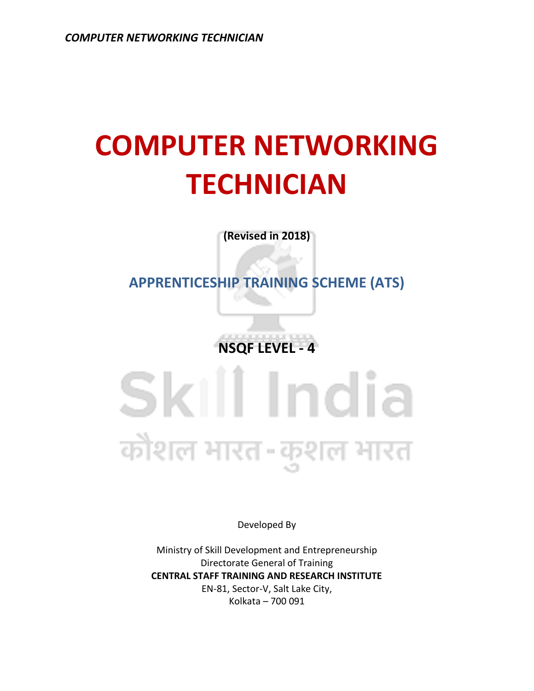**(Revised in 2018)**

**APPRENTICESHIP TRAINING SCHEME (ATS)**

**NSQF LEVEL - 4**

Skill India कोशल भारत-कुशल भारत

Developed By

Ministry of Skill Development and Entrepreneurship Directorate General of Training **CENTRAL STAFF TRAINING AND RESEARCH INSTITUTE** EN-81, Sector-V, Salt Lake City, Kolkata – 700 091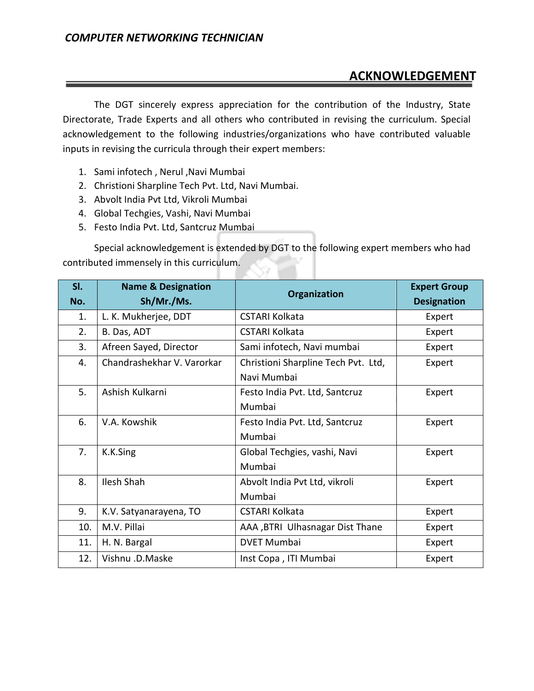# **ACKNOWLEDGEMENT**

The DGT sincerely express appreciation for the contribution of the Industry, State Directorate, Trade Experts and all others who contributed in revising the curriculum. Special acknowledgement to the following industries/organizations who have contributed valuable inputs in revising the curricula through their expert members:

- 1. Sami infotech , Nerul ,Navi Mumbai
- 2. Christioni Sharpline Tech Pvt. Ltd, Navi Mumbai.
- 3. Abvolt India Pvt Ltd, Vikroli Mumbai
- 4. Global Techgies, Vashi, Navi Mumbai
- 5. Festo India Pvt. Ltd, Santcruz Mumbai

Special acknowledgement is extended by DGT to the following expert members who had contributed immensely in this curriculum.

| SI. | <b>Name &amp; Designation</b> | Organization                        | <b>Expert Group</b> |
|-----|-------------------------------|-------------------------------------|---------------------|
| No. | Sh/Mr./Ms.                    |                                     | <b>Designation</b>  |
| 1.  | L. K. Mukherjee, DDT          | <b>CSTARI Kolkata</b>               | Expert              |
| 2.  | B. Das, ADT                   | <b>CSTARI Kolkata</b>               | Expert              |
| 3.  | Afreen Sayed, Director        | Sami infotech, Navi mumbai          | Expert              |
| 4.  | Chandrashekhar V. Varorkar    | Christioni Sharpline Tech Pvt. Ltd, | Expert              |
|     |                               | Navi Mumbai                         |                     |
| 5.  | Ashish Kulkarni               | Festo India Pvt. Ltd, Santcruz      | Expert              |
|     |                               | Mumbai                              |                     |
| 6.  | V.A. Kowshik                  | Festo India Pvt. Ltd, Santcruz      | Expert              |
|     |                               | Mumbai                              |                     |
| 7.  | K.K.Sing                      | Global Techgies, vashi, Navi        | Expert              |
|     |                               | Mumbai                              |                     |
| 8.  | <b>Ilesh Shah</b>             | Abvolt India Pvt Ltd, vikroli       | Expert              |
|     |                               | Mumbai                              |                     |
| 9.  | K.V. Satyanarayena, TO        | <b>CSTARI Kolkata</b>               | Expert              |
| 10. | M.V. Pillai                   | AAA , BTRI Ulhasnagar Dist Thane    | Expert              |
| 11. | H. N. Bargal                  | <b>DVET Mumbai</b>                  | Expert              |
| 12. | Vishnu .D.Maske               | Inst Copa, ITI Mumbai               | Expert              |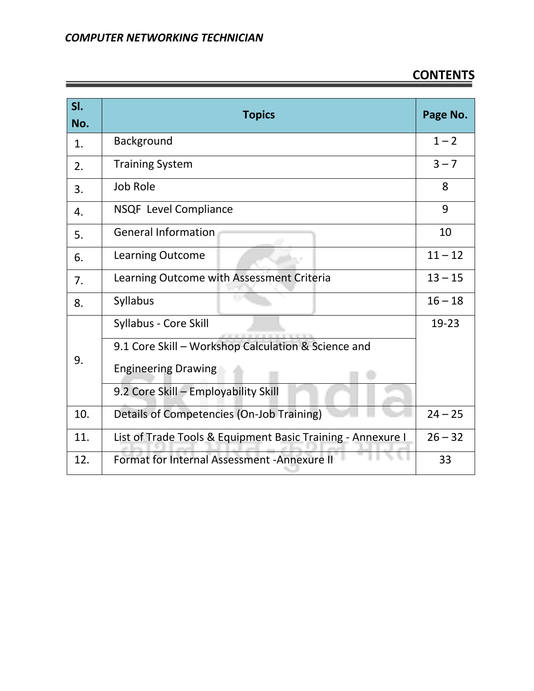# **CONTENTS**

| SI.<br>No. | <b>Topics</b>                                               | Page No.  |
|------------|-------------------------------------------------------------|-----------|
| 1.         | Background                                                  | $1 - 2$   |
| 2.         | <b>Training System</b>                                      | $3 - 7$   |
| 3.         | <b>Job Role</b>                                             | 8         |
| 4.         | NSQF Level Compliance                                       | 9         |
| 5.         | <b>General Information</b>                                  | 10        |
| 6.         | <b>Learning Outcome</b>                                     | $11 - 12$ |
| 7.         | Learning Outcome with Assessment Criteria                   | $13 - 15$ |
| 8.         | Syllabus                                                    | $16 - 18$ |
|            | Syllabus - Core Skill                                       | 19-23     |
| 9.         | 9.1 Core Skill - Workshop Calculation & Science and         |           |
|            | <b>Engineering Drawing</b>                                  |           |
|            | 9.2 Core Skill - Employability Skill                        |           |
| 10.        | Details of Competencies (On-Job Training)                   |           |
| 11.        | List of Trade Tools & Equipment Basic Training - Annexure I | $26 - 32$ |
| 12.        | Format for Internal Assessment - Annexure II                | 33        |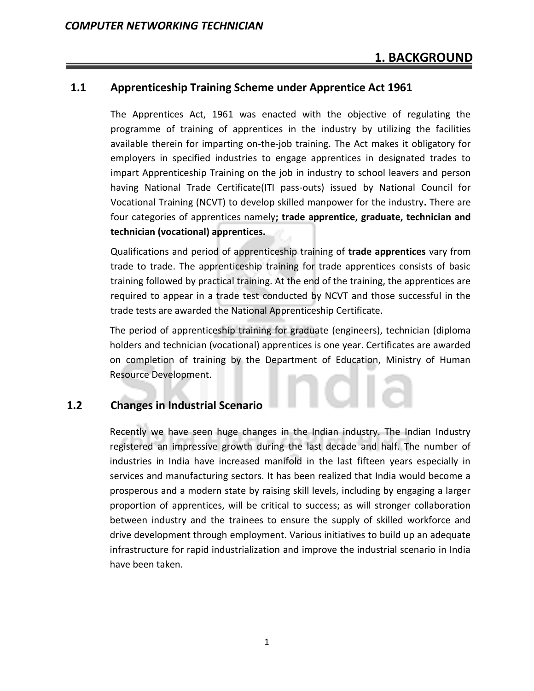#### **1.1 Apprenticeship Training Scheme under Apprentice Act 1961**

The Apprentices Act, 1961 was enacted with the objective of regulating the programme of training of apprentices in the industry by utilizing the facilities available therein for imparting on-the-job training. The Act makes it obligatory for employers in specified industries to engage apprentices in designated trades to impart Apprenticeship Training on the job in industry to school leavers and person having National Trade Certificate(ITI pass-outs) issued by National Council for Vocational Training (NCVT) to develop skilled manpower for the industry**.** There are four categories of apprentices namely**; trade apprentice, graduate, technician and technician (vocational) apprentices.** 

Qualifications and period of apprenticeship training of **trade apprentices** vary from trade to trade. The apprenticeship training for trade apprentices consists of basic training followed by practical training. At the end of the training, the apprentices are required to appear in a trade test conducted by NCVT and those successful in the trade tests are awarded the National Apprenticeship Certificate.

The period of apprenticeship training for graduate (engineers), technician (diploma holders and technician (vocational) apprentices is one year. Certificates are awarded on completion of training by the Department of Education, Ministry of Human Resource Development.

### **1.2 Changes in Industrial Scenario**

Recently we have seen huge changes in the Indian industry. The Indian Industry registered an impressive growth during the last decade and half. The number of industries in India have increased manifold in the last fifteen years especially in services and manufacturing sectors. It has been realized that India would become a prosperous and a modern state by raising skill levels, including by engaging a larger proportion of apprentices, will be critical to success; as will stronger collaboration between industry and the trainees to ensure the supply of skilled workforce and drive development through employment. Various initiatives to build up an adequate infrastructure for rapid industrialization and improve the industrial scenario in India have been taken.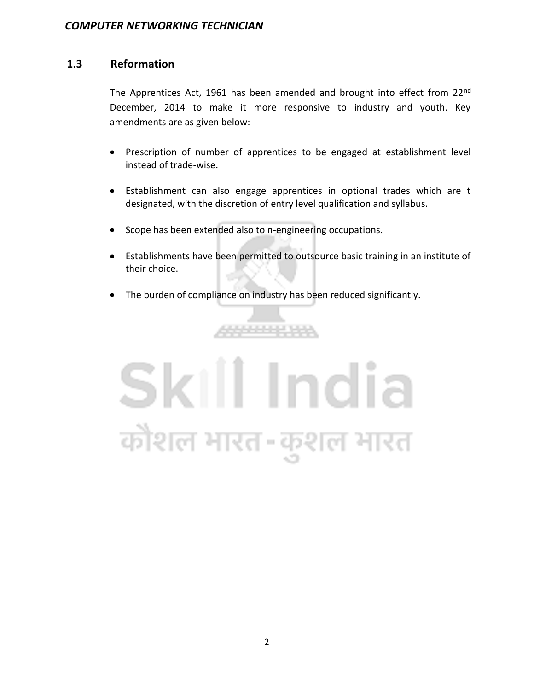#### **1.3 Reformation**

The Apprentices Act, 1961 has been amended and brought into effect from 22<sup>nd</sup> December, 2014 to make it more responsive to industry and youth. Key amendments are as given below:

- Prescription of number of apprentices to be engaged at establishment level instead of trade-wise.
- Establishment can also engage apprentices in optional trades which are t designated, with the discretion of entry level qualification and syllabus.
- Scope has been extended also to n-engineering occupations.
- Establishments have been permitted to outsource basic training in an institute of their choice.
- The burden of compliance on industry has been reduced significantly.

والمستحدث

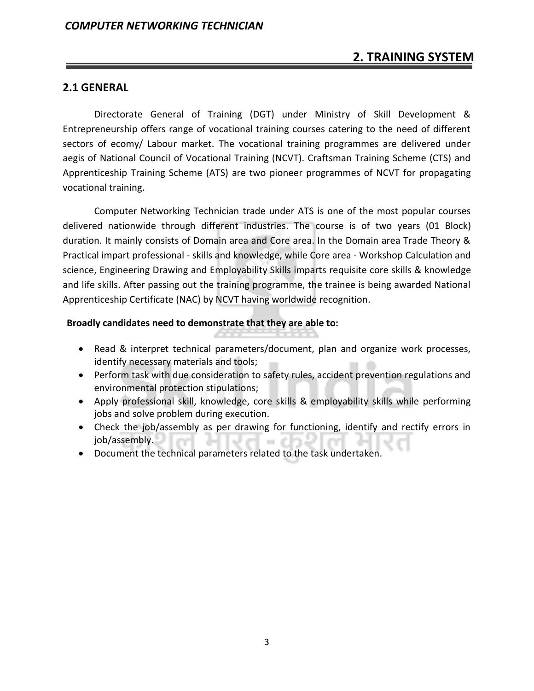# **2. TRAINING SYSTEM**

#### **2.1 GENERAL**

Directorate General of Training (DGT) under Ministry of Skill Development & Entrepreneurship offers range of vocational training courses catering to the need of different sectors of ecomy/ Labour market. The vocational training programmes are delivered under aegis of National Council of Vocational Training (NCVT). Craftsman Training Scheme (CTS) and Apprenticeship Training Scheme (ATS) are two pioneer programmes of NCVT for propagating vocational training.

Computer Networking Technician trade under ATS is one of the most popular courses delivered nationwide through different industries. The course is of two years (01 Block) duration. It mainly consists of Domain area and Core area. In the Domain area Trade Theory & Practical impart professional - skills and knowledge, while Core area - Workshop Calculation and science, Engineering Drawing and Employability Skills imparts requisite core skills & knowledge and life skills. After passing out the training programme, the trainee is being awarded National Apprenticeship Certificate (NAC) by NCVT having worldwide recognition.

#### **Broadly candidates need to demonstrate that they are able to:**

- Read & interpret technical parameters/document, plan and organize work processes, identify necessary materials and tools;
- Perform task with due consideration to safety rules, accident prevention regulations and environmental protection stipulations;
- Apply professional skill, knowledge, core skills & employability skills while performing jobs and solve problem during execution.
- Check the job/assembly as per drawing for functioning, identify and rectify errors in job/assembly. a pro a matu
- Document the technical parameters related to the task undertaken.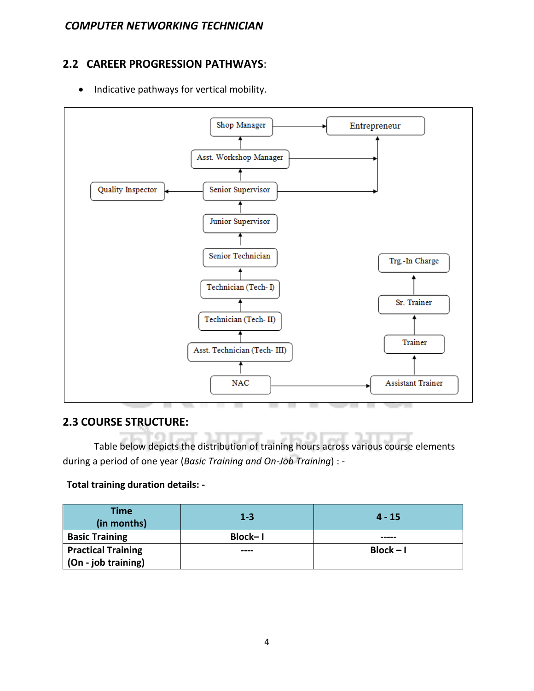# **2.2 CAREER PROGRESSION PATHWAYS**:

• Indicative pathways for vertical mobility.



#### **2.3 COURSE STRUCTURE:**

Table below depicts the distribution of training hours across various course elements during a period of one year (*Basic Training and On-Job Training*) : -

#### **Total training duration details: -**

| <b>Time</b><br>(in months) | $1 - 3$        | $4 - 15$    |
|----------------------------|----------------|-------------|
| <b>Basic Training</b>      | <b>Block-1</b> | -----       |
| <b>Practical Training</b>  | ----           | $Block - I$ |
| (On - job training)        |                |             |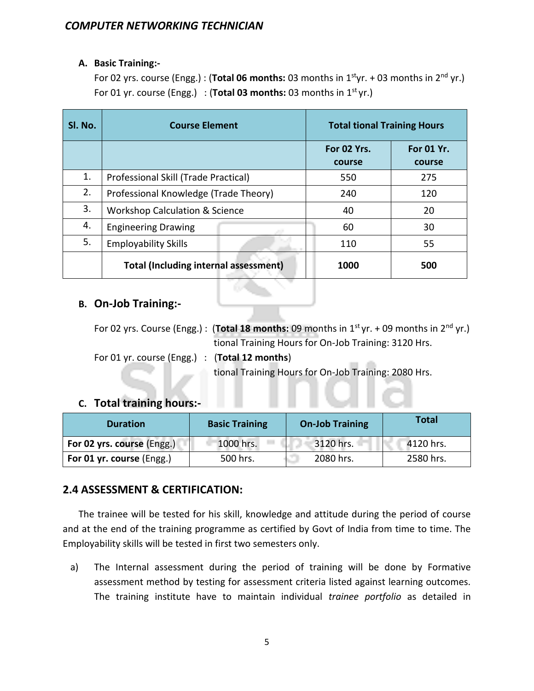#### **A. Basic Training:-**

For 02 yrs. course (Engg.) : (**Total 06 months:** 03 months in 1<sup>st</sup>yr. + 03 months in 2<sup>nd</sup> yr.) For 01 yr. course (Engg.) : (**Total 03 months:** 03 months in  $1^{st}$  yr.)

| SI. No. | <b>Course Element</b>                        | <b>Total tional Training Hours</b> |                             |
|---------|----------------------------------------------|------------------------------------|-----------------------------|
|         |                                              | For 02 Yrs.<br>course              | <b>For 01 Yr.</b><br>course |
| 1.      | Professional Skill (Trade Practical)         | 550                                | 275                         |
| 2.      | Professional Knowledge (Trade Theory)        | 240                                | 120                         |
| 3.      | <b>Workshop Calculation &amp; Science</b>    | 40                                 | 20                          |
| 4.      | <b>Engineering Drawing</b>                   | 60                                 | 30                          |
| 5.      | <b>Employability Skills</b>                  | 110                                | 55                          |
|         | <b>Total (Including internal assessment)</b> | 1000                               | 500                         |

#### **B. On-Job Training:-**

For 02 yrs. Course (Engg.) : (**Total 18 months:** 09 months in 1st yr. + 09 months in 2nd yr.) tional Training Hours for On-Job Training: 3120 Hrs. For 01 yr. course (Engg.) : (**Total 12 months**)

tional Training Hours for On-Job Training: 2080 Hrs.

#### **C. Total training hours:-**

| <b>Duration</b>            | <b>Basic Training</b> | <b>On-Job Training</b> | <b>Total</b> |
|----------------------------|-----------------------|------------------------|--------------|
| For 02 yrs. course (Engg.) | 1000 hrs.             | 3120 hrs.              | 4120 hrs.    |
| For 01 yr. course (Engg.)  | 500 hrs.              | 2080 hrs.              | 2580 hrs.    |

#### **2.4 ASSESSMENT & CERTIFICATION:**

The trainee will be tested for his skill, knowledge and attitude during the period of course and at the end of the training programme as certified by Govt of India from time to time. The Employability skills will be tested in first two semesters only.

a) The Internal assessment during the period of training will be done by Formative assessment method by testing for assessment criteria listed against learning outcomes. The training institute have to maintain individual *trainee portfolio* as detailed in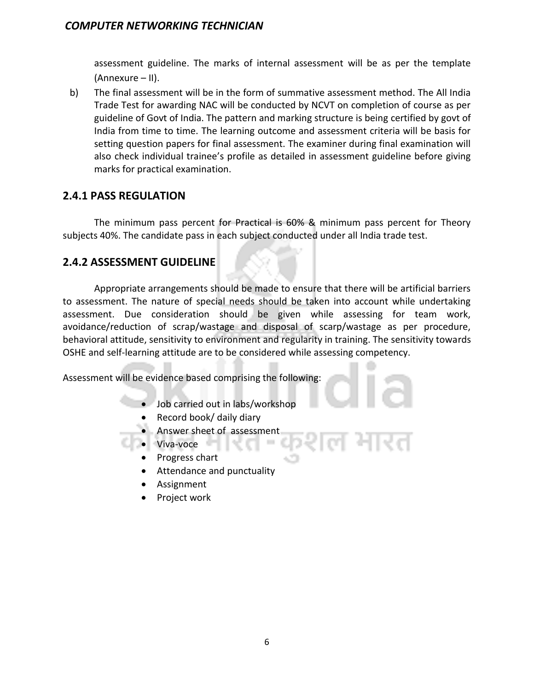assessment guideline. The marks of internal assessment will be as per the template (Annexure – II).

b) The final assessment will be in the form of summative assessment method. The All India Trade Test for awarding NAC will be conducted by NCVT on completion of course as per guideline of Govt of India. The pattern and marking structure is being certified by govt of India from time to time. The learning outcome and assessment criteria will be basis for setting question papers for final assessment. The examiner during final examination will also check individual trainee's profile as detailed in assessment guideline before giving marks for practical examination.

#### **2.4.1 PASS REGULATION**

The minimum pass percent for Practical is 60% & minimum pass percent for Theory subjects 40%. The candidate pass in each subject conducted under all India trade test.

#### **2.4.2 ASSESSMENT GUIDELINE**

Appropriate arrangements should be made to ensure that there will be artificial barriers to assessment. The nature of special needs should be taken into account while undertaking assessment. Due consideration should be given while assessing for team work, avoidance/reduction of scrap/wastage and disposal of scarp/wastage as per procedure, behavioral attitude, sensitivity to environment and regularity in training. The sensitivity towards OSHE and self-learning attitude are to be considered while assessing competency.

Assessment will be evidence based comprising the following:

- Job carried out in labs/workshop
	- Record book/ daily diary
- Answer sheet of assessment
- Viva-voce
	- Progress chart
	- Attendance and punctuality
	- **Assignment**
	- Project work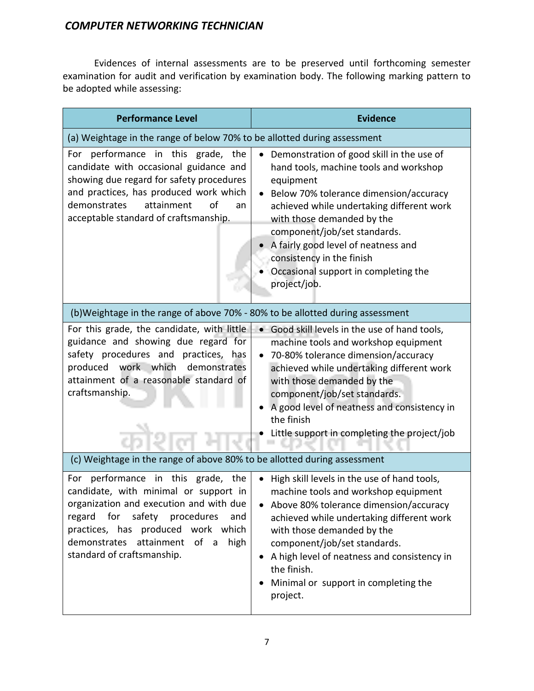Evidences of internal assessments are to be preserved until forthcoming semester examination for audit and verification by examination body. The following marking pattern to be adopted while assessing:

| <b>Performance Level</b>                                                                                                                                                                                                                                                           | <b>Evidence</b>                                                                                                                                                                                                                                                                                                                                                                   |  |  |
|------------------------------------------------------------------------------------------------------------------------------------------------------------------------------------------------------------------------------------------------------------------------------------|-----------------------------------------------------------------------------------------------------------------------------------------------------------------------------------------------------------------------------------------------------------------------------------------------------------------------------------------------------------------------------------|--|--|
| (a) Weightage in the range of below 70% to be allotted during assessment                                                                                                                                                                                                           |                                                                                                                                                                                                                                                                                                                                                                                   |  |  |
| performance in this grade, the<br>For<br>candidate with occasional guidance and<br>showing due regard for safety procedures<br>and practices, has produced work which<br>demonstrates<br>attainment<br>of<br>an<br>acceptable standard of craftsmanship.                           | Demonstration of good skill in the use of<br>hand tools, machine tools and workshop<br>equipment<br>Below 70% tolerance dimension/accuracy<br>achieved while undertaking different work<br>with those demanded by the<br>component/job/set standards.<br>A fairly good level of neatness and<br>consistency in the finish<br>Occasional support in completing the<br>project/job. |  |  |
| (b)Weightage in the range of above 70% - 80% to be allotted during assessment                                                                                                                                                                                                      |                                                                                                                                                                                                                                                                                                                                                                                   |  |  |
| For this grade, the candidate, with little<br>guidance and showing due regard for<br>safety procedures and practices, has<br>produced work which demonstrates<br>attainment of a reasonable standard of<br>craftsmanship.                                                          | • Good skill levels in the use of hand tools,<br>machine tools and workshop equipment<br>70-80% tolerance dimension/accuracy<br>$\bullet$<br>achieved while undertaking different work<br>with those demanded by the<br>component/job/set standards.<br>A good level of neatness and consistency in<br>the finish<br>Little support in completing the project/job                 |  |  |
| (c) Weightage in the range of above 80% to be allotted during assessment                                                                                                                                                                                                           |                                                                                                                                                                                                                                                                                                                                                                                   |  |  |
| For performance in this grade, the<br>candidate, with minimal or support in<br>organization and execution and with due<br>regard<br>for<br>safety procedures<br>and<br>practices, has produced work which<br>demonstrates attainment<br>of a<br>high<br>standard of craftsmanship. | High skill levels in the use of hand tools,<br>machine tools and workshop equipment<br>Above 80% tolerance dimension/accuracy<br>achieved while undertaking different work<br>with those demanded by the<br>component/job/set standards.<br>A high level of neatness and consistency in<br>the finish.<br>Minimal or support in completing the<br>project.                        |  |  |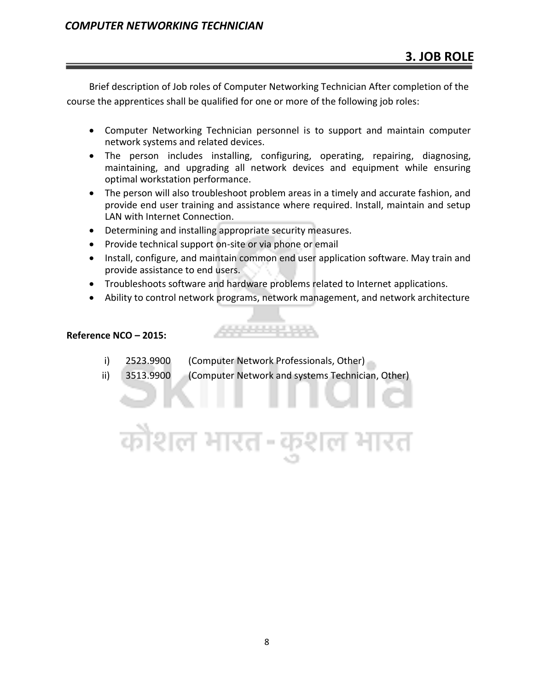Brief description of Job roles of Computer Networking Technician After completion of the course the apprentices shall be qualified for one or more of the following job roles:

- Computer Networking Technician personnel is to support and maintain computer network systems and related devices.
- The person includes installing, configuring, operating, repairing, diagnosing, maintaining, and upgrading all network devices and equipment while ensuring optimal workstation performance.
- The person will also troubleshoot problem areas in a timely and accurate fashion, and provide end user training and assistance where required. Install, maintain and setup LAN with Internet Connection.
- Determining and installing appropriate security measures.
- Provide technical support on-site or via phone or email
- Install, configure, and maintain common end user application software. May train and provide assistance to end users.
- Troubleshoots software and hardware problems related to Internet applications.

20000000000

 $1-\epsilon$ 

• Ability to control network programs, network management, and network architecture

#### **Reference NCO – 2015:**

i) 2523.9900 (Computer Network Professionals, Other)

त्रीशल भारत

ii) 3513.9900 (Computer Network and systems Technician, Other)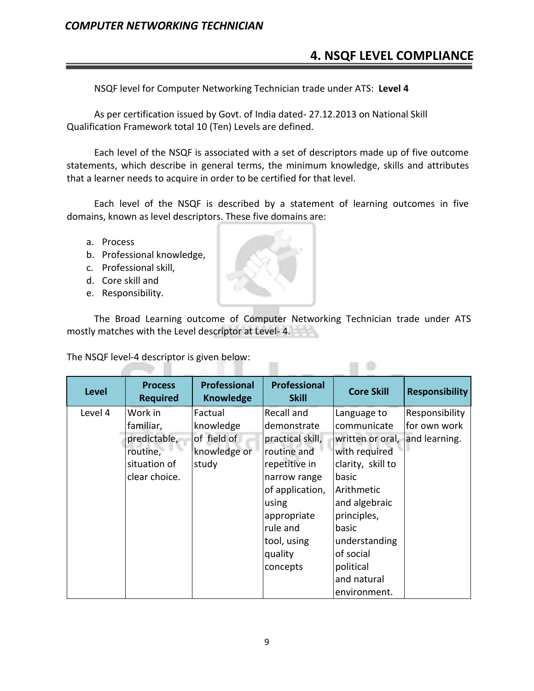# **4. NSQF LEVEL COMPLIANCE**

NSQF level for Computer Networking Technician trade under ATS: **Level 4**

As per certification issued by Govt. of India dated- 27.12.2013 on National Skill Qualification Framework total 10 (Ten) Levels are defined.

Each level of the NSQF is associated with a set of descriptors made up of five outcome statements, which describe in general terms, the minimum knowledge, skills and attributes that a learner needs to acquire in order to be certified for that level.

Each level of the NSQF is described by a statement of learning outcomes in five domains, known as level descriptors. These five domains are:

- a. Process
- b. Professional knowledge,
- c. Professional skill,
- d. Core skill and
- e. Responsibility.

e la

The Broad Learning outcome of Computer Networking Technician trade under ATS mostly matches with the Level descriptor at Level- 4.

n e

The NSQF level-4 descriptor is given below:

a.

a ma

| <b>Level</b> | <b>Process</b>  | <b>Professional</b> | <b>Professional</b> | <b>Core Skill</b> | <b>Responsibility</b> |
|--------------|-----------------|---------------------|---------------------|-------------------|-----------------------|
|              | <b>Required</b> | <b>Knowledge</b>    | <b>Skill</b>        |                   |                       |
| Level 4      | Work in         | Factual             | Recall and          | Language to       | Responsibility        |
|              | familiar,       | knowledge           | demonstrate         | communicate       | for own work          |
|              | predictable,    | of field of         | practical skill,    | written or oral,  | and learning.         |
|              | routine,        | knowledge or        | routine and         | with required     |                       |
|              | situation of    | study               | repetitive in       | clarity, skill to |                       |
|              | clear choice.   |                     | narrow range        | basic             |                       |
|              |                 |                     | of application,     | Arithmetic        |                       |
|              |                 |                     | using               | and algebraic     |                       |
|              |                 |                     | appropriate         | principles,       |                       |
|              |                 |                     | rule and            | basic             |                       |
|              |                 |                     | tool, using         | understanding     |                       |
|              |                 |                     | quality             | of social         |                       |
|              |                 |                     | concepts            | political         |                       |
|              |                 |                     |                     | and natural       |                       |
|              |                 |                     |                     | environment.      |                       |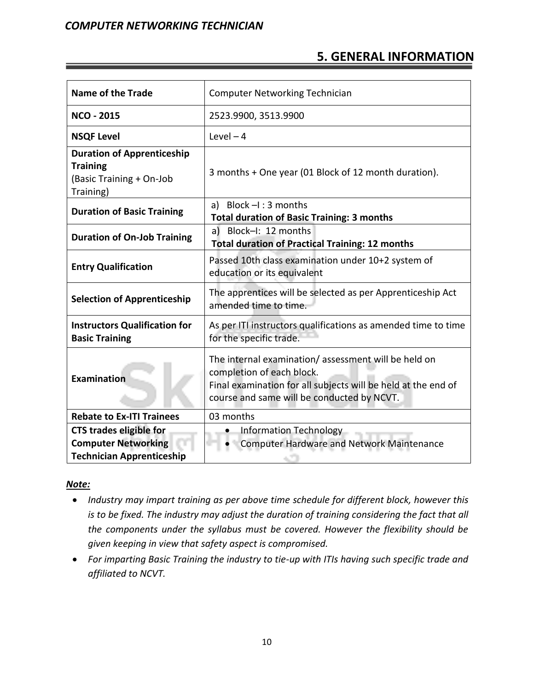# **5. GENERAL INFORMATION**

| <b>Name of the Trade</b>                                                                         | <b>Computer Networking Technician</b>                                                                                                                                                           |  |
|--------------------------------------------------------------------------------------------------|-------------------------------------------------------------------------------------------------------------------------------------------------------------------------------------------------|--|
| <b>NCO - 2015</b>                                                                                | 2523.9900, 3513.9900                                                                                                                                                                            |  |
| <b>NSQF Level</b>                                                                                | Level $-4$                                                                                                                                                                                      |  |
| <b>Duration of Apprenticeship</b><br><b>Training</b><br>(Basic Training + On-Job<br>Training)    | 3 months + One year (01 Block of 12 month duration).                                                                                                                                            |  |
| <b>Duration of Basic Training</b>                                                                | a) Block $-I$ : 3 months<br><b>Total duration of Basic Training: 3 months</b>                                                                                                                   |  |
| <b>Duration of On-Job Training</b>                                                               | a) Block-I: 12 months<br><b>Total duration of Practical Training: 12 months</b>                                                                                                                 |  |
| <b>Entry Qualification</b>                                                                       | Passed 10th class examination under 10+2 system of<br>education or its equivalent                                                                                                               |  |
| <b>Selection of Apprenticeship</b>                                                               | The apprentices will be selected as per Apprenticeship Act<br>amended time to time.                                                                                                             |  |
| <b>Instructors Qualification for</b><br><b>Basic Training</b>                                    | As per ITI instructors qualifications as amended time to time<br>for the specific trade.                                                                                                        |  |
| <b>Examination</b>                                                                               | The internal examination/assessment will be held on<br>completion of each block.<br>Final examination for all subjects will be held at the end of<br>course and same will be conducted by NCVT. |  |
| <b>Rebate to Ex-ITI Trainees</b>                                                                 | 03 months                                                                                                                                                                                       |  |
| <b>CTS trades eligible for</b><br><b>Computer Networking</b><br><b>Technician Apprenticeship</b> | <b>Information Technology</b><br><b>Computer Hardware and Network Maintenance</b>                                                                                                               |  |

#### *Note:*

- *Industry may impart training as per above time schedule for different block, however this is to be fixed. The industry may adjust the duration of training considering the fact that all the components under the syllabus must be covered. However the flexibility should be given keeping in view that safety aspect is compromised.*
- *For imparting Basic Training the industry to tie-up with ITIs having such specific trade and affiliated to NCVT.*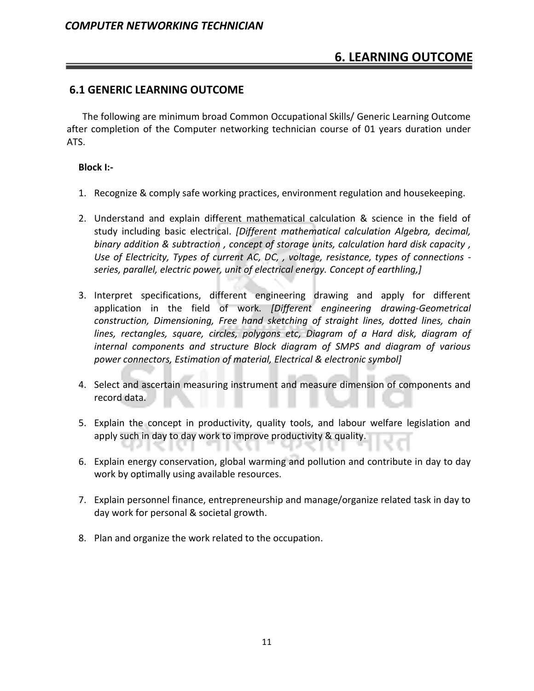# **6. LEARNING OUTCOME**

#### **6.1 GENERIC LEARNING OUTCOME**

The following are minimum broad Common Occupational Skills/ Generic Learning Outcome after completion of the Computer networking technician course of 01 years duration under ATS.

#### **Block I:-**

- 1. Recognize & comply safe working practices, environment regulation and housekeeping.
- 2. Understand and explain different mathematical calculation & science in the field of study including basic electrical. *[Different mathematical calculation Algebra, decimal, binary addition & subtraction , concept of storage units, calculation hard disk capacity , Use of Electricity, Types of current AC, DC, , voltage, resistance, types of connections series, parallel, electric power, unit of electrical energy. Concept of earthling,]*
- 3. Interpret specifications, different engineering drawing and apply for different application in the field of work. *[Different engineering drawing-Geometrical construction, Dimensioning, Free hand sketching of straight lines, dotted lines, chain lines, rectangles, square, circles, polygons etc, Diagram of a Hard disk, diagram of internal components and structure Block diagram of SMPS and diagram of various power connectors, Estimation of material, Electrical & electronic symbol]*
- 4. Select and ascertain measuring instrument and measure dimension of components and record data.
- 5. Explain the concept in productivity, quality tools, and labour welfare legislation and apply such in day to day work to improve productivity & quality.
- 6. Explain energy conservation, global warming and pollution and contribute in day to day work by optimally using available resources.
- 7. Explain personnel finance, entrepreneurship and manage/organize related task in day to day work for personal & societal growth.
- 8. Plan and organize the work related to the occupation.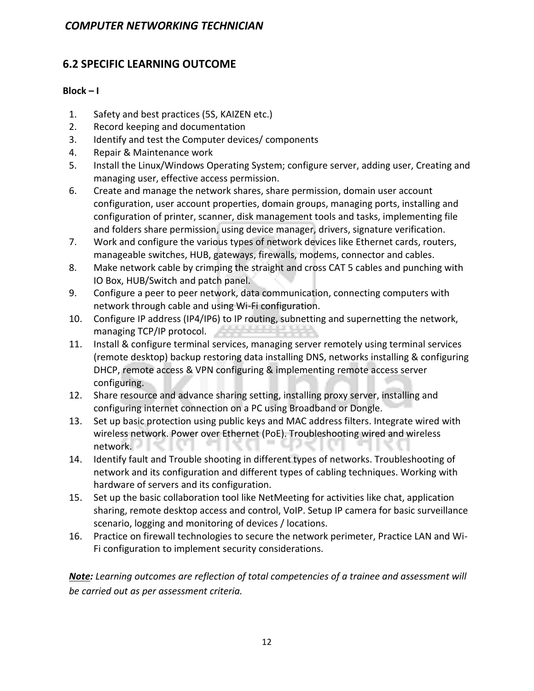#### **6.2 SPECIFIC LEARNING OUTCOME**

#### **Block – I**

- 1. Safety and best practices (5S, KAIZEN etc.)
- 2. Record keeping and documentation
- 3. Identify and test the Computer devices/ components
- 4. Repair & Maintenance work
- 5. Install the Linux/Windows Operating System; configure server, adding user, Creating and managing user, effective access permission.
- 6. Create and manage the network shares, share permission, domain user account configuration, user account properties, domain groups, managing ports, installing and configuration of printer, scanner, disk management tools and tasks, implementing file and folders share permission, using device manager, drivers, signature verification.
- 7. Work and configure the various types of network devices like Ethernet cards, routers, manageable switches, HUB, gateways, firewalls, modems, connector and cables.
- 8. Make network cable by crimping the straight and cross CAT 5 cables and punching with IO Box, HUB/Switch and patch panel.
- 9. Configure a peer to peer network, data communication, connecting computers with network through cable and using Wi-Fi configuration.
- 10. Configure IP address (IP4/IP6) to IP routing, subnetting and supernetting the network, managing TCP/IP protocol.
- 11. Install & configure terminal services, managing server remotely using terminal services (remote desktop) backup restoring data installing DNS, networks installing & configuring DHCP, remote access & VPN configuring & implementing remote access server configuring.
- 12. Share resource and advance sharing setting, installing proxy server, installing and configuring internet connection on a PC using Broadband or Dongle.
- 13. Set up basic protection using public keys and MAC address filters. Integrate wired with wireless network. Power over Ethernet (PoE). Troubleshooting wired and wireless network.
- 14. Identify fault and Trouble shooting in different types of networks. Troubleshooting of network and its configuration and different types of cabling techniques. Working with hardware of servers and its configuration.
- 15. Set up the basic collaboration tool like NetMeeting for activities like chat, application sharing, remote desktop access and control, VoIP. Setup IP camera for basic surveillance scenario, logging and monitoring of devices / locations.
- 16. Practice on firewall technologies to secure the network perimeter, Practice LAN and Wi-Fi configuration to implement security considerations.

*Note: Learning outcomes are reflection of total competencies of a trainee and assessment will be carried out as per assessment criteria.*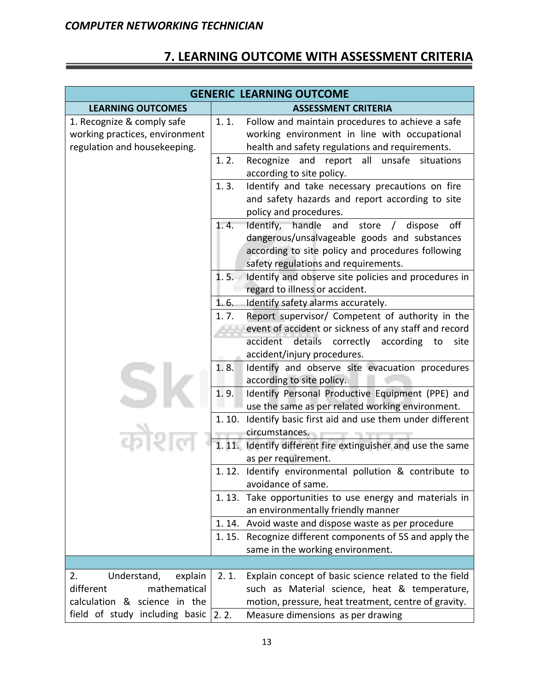# **7. LEARNING OUTCOME WITH ASSESSMENT CRITERIA**

| <b>GENERIC LEARNING OUTCOME</b>                                                              |                                                                                                                                                                                                                       |  |  |
|----------------------------------------------------------------------------------------------|-----------------------------------------------------------------------------------------------------------------------------------------------------------------------------------------------------------------------|--|--|
| <b>LEARNING OUTCOMES</b>                                                                     | <b>ASSESSMENT CRITERIA</b>                                                                                                                                                                                            |  |  |
| 1. Recognize & comply safe<br>working practices, environment<br>regulation and housekeeping. | 1.1.<br>Follow and maintain procedures to achieve a safe<br>working environment in line with occupational<br>health and safety regulations and requirements.                                                          |  |  |
|                                                                                              | 1.2.<br>and<br>report all<br>unsafe<br>situations<br>Recognize<br>according to site policy.                                                                                                                           |  |  |
|                                                                                              | Identify and take necessary precautions on fire<br>1.3.<br>and safety hazards and report according to site<br>policy and procedures.                                                                                  |  |  |
|                                                                                              | off<br>1.4.<br>Identify, handle<br>and<br>store<br>dispose<br>$\sqrt{2}$<br>dangerous/unsalvageable goods and substances<br>according to site policy and procedures following<br>safety regulations and requirements. |  |  |
|                                                                                              | Identify and observe site policies and procedures in<br>1.5.<br>regard to illness or accident.                                                                                                                        |  |  |
|                                                                                              | 1.6.<br>Identify safety alarms accurately.                                                                                                                                                                            |  |  |
|                                                                                              | Report supervisor/ Competent of authority in the<br>1.7.<br>event of accident or sickness of any staff and record<br>accident details correctly<br>according<br>to<br>site                                            |  |  |
|                                                                                              | accident/injury procedures.                                                                                                                                                                                           |  |  |
|                                                                                              | Identify and observe site evacuation procedures<br>1.8.<br>according to site policy.                                                                                                                                  |  |  |
|                                                                                              | 1.9.<br>Identify Personal Productive Equipment (PPE) and<br>use the same as per related working environment.                                                                                                          |  |  |
|                                                                                              | Identify basic first aid and use them under different<br>1.10.                                                                                                                                                        |  |  |
|                                                                                              | circumstances.<br>1. 11. Identify different fire extinguisher and use the same<br>as per requirement.                                                                                                                 |  |  |
|                                                                                              | 1.12. Identify environmental pollution & contribute to<br>avoidance of same.                                                                                                                                          |  |  |
|                                                                                              | Take opportunities to use energy and materials in<br>1.13.<br>an environmentally friendly manner                                                                                                                      |  |  |
|                                                                                              | 1.14. Avoid waste and dispose waste as per procedure                                                                                                                                                                  |  |  |
|                                                                                              | Recognize different components of 5S and apply the<br>1.15.<br>same in the working environment.                                                                                                                       |  |  |
|                                                                                              |                                                                                                                                                                                                                       |  |  |
| Understand,<br>2.<br>explain                                                                 | Explain concept of basic science related to the field<br>2.1.                                                                                                                                                         |  |  |
| different<br>mathematical<br>calculation & science in the                                    | such as Material science, heat & temperature,<br>motion, pressure, heat treatment, centre of gravity.                                                                                                                 |  |  |
| field of study including basic $ 2.2.$                                                       | Measure dimensions as per drawing                                                                                                                                                                                     |  |  |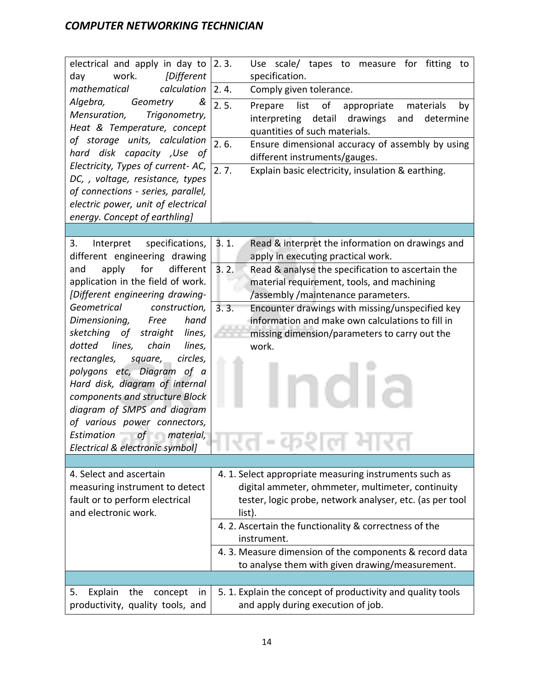| electrical and apply in day to<br>work.<br>day<br>[Different                                                                                                                                                                                                                                                                                                                                                      | 2.3.<br>Use scale/ tapes to measure for fitting<br>to<br>specification.                                                                                                                                             |
|-------------------------------------------------------------------------------------------------------------------------------------------------------------------------------------------------------------------------------------------------------------------------------------------------------------------------------------------------------------------------------------------------------------------|---------------------------------------------------------------------------------------------------------------------------------------------------------------------------------------------------------------------|
| mathematical<br>calculation                                                                                                                                                                                                                                                                                                                                                                                       | Comply given tolerance.<br>2.4.                                                                                                                                                                                     |
| Algebra,<br>Geometry<br>&<br>Mensuration,<br>Trigonometry,<br>Heat & Temperature, concept<br>of storage units, calculation                                                                                                                                                                                                                                                                                        | 2.5.<br>of<br>list<br>Prepare<br>appropriate<br>materials<br>by<br>interpreting detail<br>drawings<br>determine<br>and<br>quantities of such materials.<br>2.6.<br>Ensure dimensional accuracy of assembly by using |
| hard disk capacity , Use of                                                                                                                                                                                                                                                                                                                                                                                       | different instruments/gauges.                                                                                                                                                                                       |
| Electricity, Types of current- AC,<br>DC, , voltage, resistance, types<br>of connections - series, parallel,<br>electric power, unit of electrical<br>energy. Concept of earthling]                                                                                                                                                                                                                               | 2.7.<br>Explain basic electricity, insulation & earthing.                                                                                                                                                           |
|                                                                                                                                                                                                                                                                                                                                                                                                                   |                                                                                                                                                                                                                     |
| 3.<br>Interpret<br>specifications,<br>different engineering drawing                                                                                                                                                                                                                                                                                                                                               | 3.1.<br>Read & interpret the information on drawings and<br>apply in executing practical work.                                                                                                                      |
| apply<br>different<br>for<br>and<br>application in the field of work.<br>[Different engineering drawing-                                                                                                                                                                                                                                                                                                          | 3.2.<br>Read & analyse the specification to ascertain the<br>material requirement, tools, and machining<br>/assembly /maintenance parameters.                                                                       |
| Geometrical<br>construction,<br>Dimensioning,<br>hand<br>Free<br>sketching of<br>straight<br>lines,<br>dotted lines,<br>chain<br>lines,<br>rectangles,<br>circles,<br>square,<br>polygons etc, Diagram of a<br>Hard disk, diagram of internal<br>components and structure Block<br>diagram of SMPS and diagram<br>of various power connectors,<br>Estimation<br>$of$ material,<br>Electrical & electronic symbol] | 3.3.<br>Encounter drawings with missing/unspecified key<br>information and make own calculations to fill in<br>missing dimension/parameters to carry out the<br>work.                                               |
|                                                                                                                                                                                                                                                                                                                                                                                                                   |                                                                                                                                                                                                                     |
| 4. Select and ascertain<br>measuring instrument to detect<br>fault or to perform electrical<br>and electronic work.                                                                                                                                                                                                                                                                                               | 4. 1. Select appropriate measuring instruments such as<br>digital ammeter, ohmmeter, multimeter, continuity<br>tester, logic probe, network analyser, etc. (as per tool<br>list).                                   |
|                                                                                                                                                                                                                                                                                                                                                                                                                   | 4. 2. Ascertain the functionality & correctness of the<br>instrument.                                                                                                                                               |
|                                                                                                                                                                                                                                                                                                                                                                                                                   | 4. 3. Measure dimension of the components & record data<br>to analyse them with given drawing/measurement.                                                                                                          |
|                                                                                                                                                                                                                                                                                                                                                                                                                   |                                                                                                                                                                                                                     |
| Explain<br>the<br>5.<br>concept<br>in<br>productivity, quality tools, and                                                                                                                                                                                                                                                                                                                                         | 5. 1. Explain the concept of productivity and quality tools<br>and apply during execution of job.                                                                                                                   |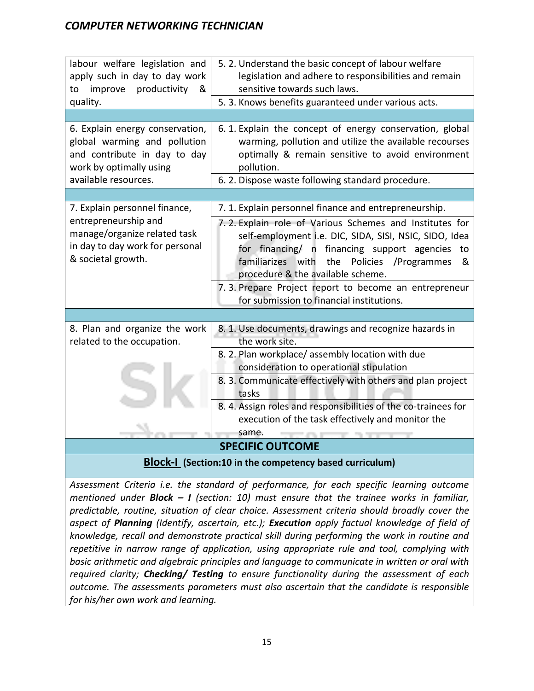| labour welfare legislation and<br>apply such in day to day work<br>productivity<br>improve<br>&<br>to                                          | 5.2. Understand the basic concept of labour welfare<br>legislation and adhere to responsibilities and remain<br>sensitive towards such laws.                                                                                                                                                                                                                                   |  |
|------------------------------------------------------------------------------------------------------------------------------------------------|--------------------------------------------------------------------------------------------------------------------------------------------------------------------------------------------------------------------------------------------------------------------------------------------------------------------------------------------------------------------------------|--|
| quality.                                                                                                                                       | 5. 3. Knows benefits guaranteed under various acts.                                                                                                                                                                                                                                                                                                                            |  |
|                                                                                                                                                |                                                                                                                                                                                                                                                                                                                                                                                |  |
| 6. Explain energy conservation,<br>global warming and pollution<br>and contribute in day to day<br>work by optimally using                     | 6.1. Explain the concept of energy conservation, global<br>warming, pollution and utilize the available recourses<br>optimally & remain sensitive to avoid environment<br>pollution.                                                                                                                                                                                           |  |
| available resources.                                                                                                                           | 6. 2. Dispose waste following standard procedure.                                                                                                                                                                                                                                                                                                                              |  |
|                                                                                                                                                |                                                                                                                                                                                                                                                                                                                                                                                |  |
| 7. Explain personnel finance,<br>entrepreneurship and<br>manage/organize related task<br>in day to day work for personal<br>& societal growth. | 7. 1. Explain personnel finance and entrepreneurship.<br>7.2. Explain role of Various Schemes and Institutes for<br>self-employment i.e. DIC, SIDA, SISI, NSIC, SIDO, Idea<br>for financing/ n financing support agencies to<br>familiarizes with the Policies /Programmes<br>&<br>procedure & the available scheme.<br>7. 3. Prepare Project report to become an entrepreneur |  |
|                                                                                                                                                | for submission to financial institutions.                                                                                                                                                                                                                                                                                                                                      |  |
|                                                                                                                                                |                                                                                                                                                                                                                                                                                                                                                                                |  |
| 8. Plan and organize the work<br>related to the occupation.                                                                                    | 8. 1. Use documents, drawings and recognize hazards in<br>the work site.                                                                                                                                                                                                                                                                                                       |  |
|                                                                                                                                                | 8. 2. Plan workplace/assembly location with due<br>consideration to operational stipulation                                                                                                                                                                                                                                                                                    |  |
|                                                                                                                                                | 8. 3. Communicate effectively with others and plan project<br>tasks                                                                                                                                                                                                                                                                                                            |  |
|                                                                                                                                                | 8. 4. Assign roles and responsibilities of the co-trainees for<br>execution of the task effectively and monitor the                                                                                                                                                                                                                                                            |  |
|                                                                                                                                                | same.<br><b>SPECIFIC OUTCOME</b>                                                                                                                                                                                                                                                                                                                                               |  |
|                                                                                                                                                |                                                                                                                                                                                                                                                                                                                                                                                |  |
| <b>Block-I</b> (Section:10 in the competency based curriculum)                                                                                 |                                                                                                                                                                                                                                                                                                                                                                                |  |

*Assessment Criteria i.e. the standard of performance, for each specific learning outcome mentioned under Block – I (section: 10) must ensure that the trainee works in familiar, predictable, routine, situation of clear choice. Assessment criteria should broadly cover the aspect of Planning (Identify, ascertain, etc.); Execution apply factual knowledge of field of knowledge, recall and demonstrate practical skill during performing the work in routine and repetitive in narrow range of application, using appropriate rule and tool, complying with basic arithmetic and algebraic principles and language to communicate in written or oral with required clarity; Checking/ Testing to ensure functionality during the assessment of each outcome. The assessments parameters must also ascertain that the candidate is responsible for his/her own work and learning.*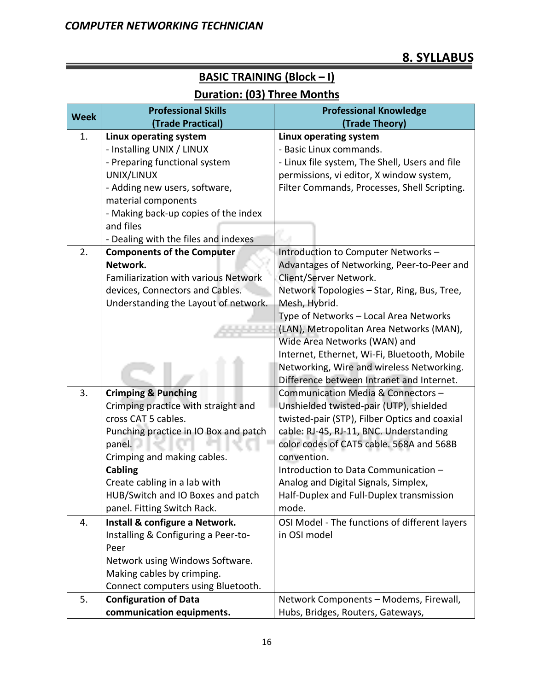# **8. SYLLABUS**

#### **Week Professional Skills (Trade Practical) Professional Knowledge (Trade Theory)** 1. **Linux operating system**  - Installing UNIX / LINUX - Preparing functional system UNIX/LINUX - Adding new users, software, material components - Making back-up copies of the index and files - Dealing with the files and indexes **Linux operating system**  - Basic Linux commands. - Linux file system, The Shell, Users and file permissions, vi editor, X window system, Filter Commands, Processes, Shell Scripting. 2. **Components of the Computer Network.**  Familiarization with various Network devices, Connectors and Cables. Understanding the Layout of network. Introduction to Computer Networks – Advantages of Networking, Peer-to-Peer and Client/Server Network. Network Topologies – Star, Ring, Bus, Tree, Mesh, Hybrid. Type of Networks – Local Area Networks (LAN), Metropolitan Area Networks (MAN), Wide Area Networks (WAN) and Internet, Ethernet, Wi-Fi, Bluetooth, Mobile Networking, Wire and wireless Networking. Difference between Intranet and Internet. 3. **Crimping & Punching**  Crimping practice with straight and cross CAT 5 cables. Punching practice in IO Box and patch panel. Crimping and making cables. **Cabling**  Create cabling in a lab with HUB/Switch and IO Boxes and patch panel. Fitting Switch Rack. Communication Media & Connectors – Unshielded twisted-pair (UTP), shielded twisted-pair (STP), Filber Optics and coaxial cable: RJ-45, RJ-11, BNC. Understanding color codes of CAT5 cable. 568A and 568B convention. Introduction to Data Communication – Analog and Digital Signals, Simplex, Half-Duplex and Full-Duplex transmission mode. 4. **Install & configure a Network.**  Installing & Configuring a Peer-to-Peer Network using Windows Software. Making cables by crimping. Connect computers using Bluetooth. OSI Model - The functions of different layers in OSI model 5. **Configuration of Data**  Network Components – Modems, Firewall,

#### **BASIC TRAINING (Block – I)**

#### **Duration: (03) Three Months**

Hubs, Bridges, Routers, Gateways,

**communication equipments.**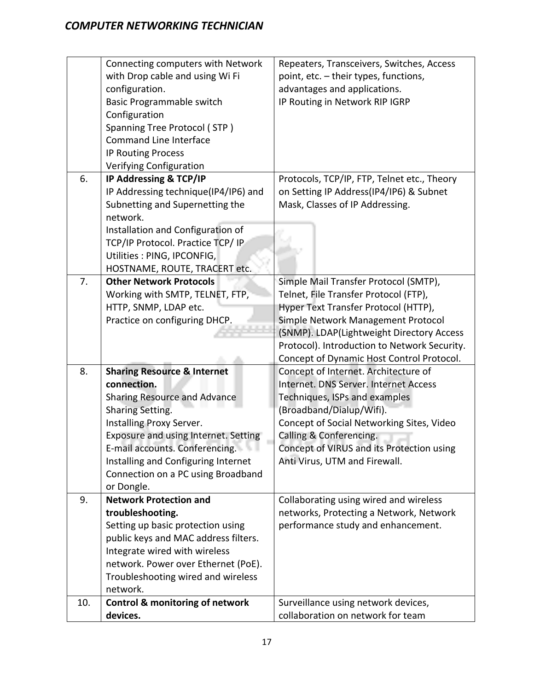|     | Connecting computers with Network<br>with Drop cable and using Wi Fi<br>configuration.<br>Basic Programmable switch<br>Configuration<br>Spanning Tree Protocol (STP)<br><b>Command Line Interface</b>                                                                                                             | Repeaters, Transceivers, Switches, Access<br>point, etc. - their types, functions,<br>advantages and applications.<br>IP Routing in Network RIP IGRP                                                                                                                                                   |
|-----|-------------------------------------------------------------------------------------------------------------------------------------------------------------------------------------------------------------------------------------------------------------------------------------------------------------------|--------------------------------------------------------------------------------------------------------------------------------------------------------------------------------------------------------------------------------------------------------------------------------------------------------|
|     | <b>IP Routing Process</b><br>Verifying Configuration                                                                                                                                                                                                                                                              |                                                                                                                                                                                                                                                                                                        |
| 6.  | IP Addressing & TCP/IP<br>IP Addressing technique(IP4/IP6) and<br>Subnetting and Supernetting the<br>network.                                                                                                                                                                                                     | Protocols, TCP/IP, FTP, Telnet etc., Theory<br>on Setting IP Address(IP4/IP6) & Subnet<br>Mask, Classes of IP Addressing.                                                                                                                                                                              |
|     | Installation and Configuration of<br>TCP/IP Protocol. Practice TCP/ IP<br>Utilities : PING, IPCONFIG,<br>HOSTNAME, ROUTE, TRACERT etc.                                                                                                                                                                            |                                                                                                                                                                                                                                                                                                        |
| 7.  | <b>Other Network Protocols</b><br>Working with SMTP, TELNET, FTP,<br>HTTP, SNMP, LDAP etc.<br>Practice on configuring DHCP.                                                                                                                                                                                       | Simple Mail Transfer Protocol (SMTP),<br>Telnet, File Transfer Protocol (FTP),<br>Hyper Text Transfer Protocol (HTTP),<br>Simple Network Management Protocol<br>(SNMP). LDAP(Lightweight Directory Access<br>Protocol). Introduction to Network Security.<br>Concept of Dynamic Host Control Protocol. |
| 8.  | <b>Sharing Resource &amp; Internet</b><br>connection.<br><b>Sharing Resource and Advance</b><br>Sharing Setting.<br>Installing Proxy Server.<br>Exposure and using Internet. Setting<br>E-mail accounts. Conferencing.<br>Installing and Configuring Internet<br>Connection on a PC using Broadband<br>or Dongle. | Concept of Internet. Architecture of<br>Internet. DNS Server. Internet Access<br>Techniques, ISPs and examples<br>(Broadband/Dialup/Wifi).<br>Concept of Social Networking Sites, Video<br>Calling & Conferencing.<br>Concept of VIRUS and its Protection using<br>Anti Virus, UTM and Firewall.       |
| 9.  | <b>Network Protection and</b><br>troubleshooting.<br>Setting up basic protection using<br>public keys and MAC address filters.<br>Integrate wired with wireless<br>network. Power over Ethernet (PoE).<br>Troubleshooting wired and wireless<br>network.                                                          | Collaborating using wired and wireless<br>networks, Protecting a Network, Network<br>performance study and enhancement.                                                                                                                                                                                |
| 10. | <b>Control &amp; monitoring of network</b><br>devices.                                                                                                                                                                                                                                                            | Surveillance using network devices,<br>collaboration on network for team                                                                                                                                                                                                                               |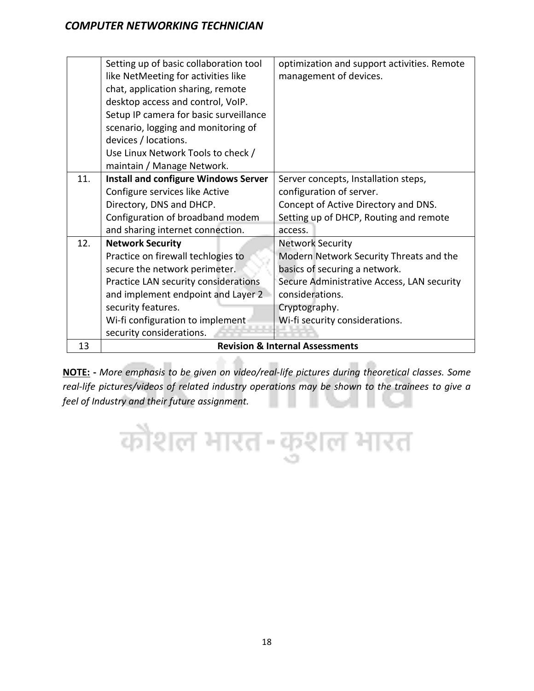|     | Setting up of basic collaboration tool      | optimization and support activities. Remote |
|-----|---------------------------------------------|---------------------------------------------|
|     | like NetMeeting for activities like         | management of devices.                      |
|     | chat, application sharing, remote           |                                             |
|     | desktop access and control, VoIP.           |                                             |
|     | Setup IP camera for basic surveillance      |                                             |
|     | scenario, logging and monitoring of         |                                             |
|     | devices / locations.                        |                                             |
|     | Use Linux Network Tools to check /          |                                             |
|     | maintain / Manage Network.                  |                                             |
| 11. | <b>Install and configure Windows Server</b> | Server concepts, Installation steps,        |
|     | Configure services like Active              | configuration of server.                    |
|     | Directory, DNS and DHCP.                    | Concept of Active Directory and DNS.        |
|     | Configuration of broadband modem            | Setting up of DHCP, Routing and remote      |
|     | and sharing internet connection.            | access.                                     |
| 12. | <b>Network Security</b>                     | <b>Network Security</b>                     |
|     | Practice on firewall techlogies to          | Modern Network Security Threats and the     |
|     | secure the network perimeter.               | basics of securing a network.               |
|     | Practice LAN security considerations        | Secure Administrative Access, LAN security  |
|     | and implement endpoint and Layer 2          | considerations.                             |
|     | security features.                          | Cryptography.                               |
|     | Wi-fi configuration to implement            | Wi-fi security considerations.              |
|     | security considerations.                    |                                             |
| 13  |                                             | <b>Revision &amp; Internal Assessments</b>  |

**NOTE: -** *More emphasis to be given on video/real-life pictures during theoretical classes. Some real-life pictures/videos of related industry operations may be shown to the trainees to give a feel of Industry and their future assignment.*

कौशल भारत-कुशल भारत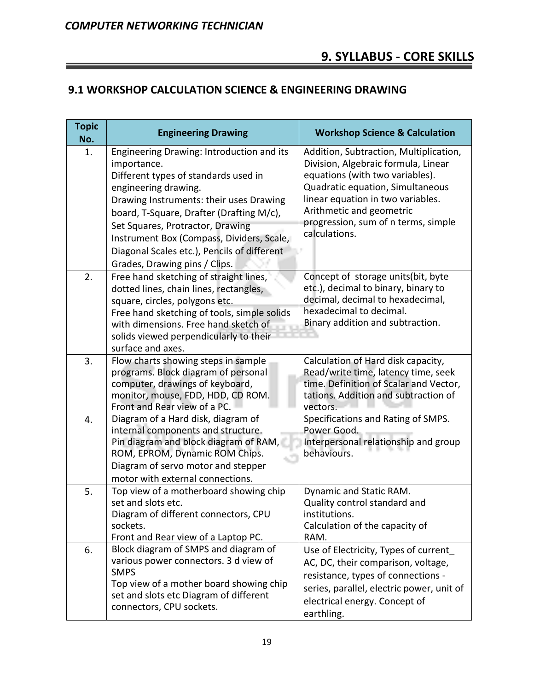# **9. SYLLABUS - CORE SKILLS**

## **9.1 WORKSHOP CALCULATION SCIENCE & ENGINEERING DRAWING**

| <b>Topic</b><br>No. | <b>Engineering Drawing</b>                                                                                                                                                                                                                                                                                                                                                       | <b>Workshop Science &amp; Calculation</b>                                                                                                                                                                                                                                     |
|---------------------|----------------------------------------------------------------------------------------------------------------------------------------------------------------------------------------------------------------------------------------------------------------------------------------------------------------------------------------------------------------------------------|-------------------------------------------------------------------------------------------------------------------------------------------------------------------------------------------------------------------------------------------------------------------------------|
| 1.                  | Engineering Drawing: Introduction and its<br>importance.<br>Different types of standards used in<br>engineering drawing.<br>Drawing Instruments: their uses Drawing<br>board, T-Square, Drafter (Drafting M/c),<br>Set Squares, Protractor, Drawing<br>Instrument Box (Compass, Dividers, Scale,<br>Diagonal Scales etc.), Pencils of different<br>Grades, Drawing pins / Clips. | Addition, Subtraction, Multiplication,<br>Division, Algebraic formula, Linear<br>equations (with two variables).<br>Quadratic equation, Simultaneous<br>linear equation in two variables.<br>Arithmetic and geometric<br>progression, sum of n terms, simple<br>calculations. |
| 2.                  | Free hand sketching of straight lines,<br>dotted lines, chain lines, rectangles,<br>square, circles, polygons etc.<br>Free hand sketching of tools, simple solids<br>with dimensions. Free hand sketch of<br>solids viewed perpendicularly to their<br>surface and axes.                                                                                                         | Concept of storage units(bit, byte<br>etc.), decimal to binary, binary to<br>decimal, decimal to hexadecimal,<br>hexadecimal to decimal.<br>Binary addition and subtraction.                                                                                                  |
| 3.                  | Flow charts showing steps in sample<br>programs. Block diagram of personal<br>computer, drawings of keyboard,<br>monitor, mouse, FDD, HDD, CD ROM.<br>Front and Rear view of a PC.                                                                                                                                                                                               | Calculation of Hard disk capacity,<br>Read/write time, latency time, seek<br>time. Definition of Scalar and Vector,<br>tations. Addition and subtraction of<br>vectors.                                                                                                       |
| 4.                  | Diagram of a Hard disk, diagram of<br>internal components and structure.<br>Pin diagram and block diagram of RAM,<br>ROM, EPROM, Dynamic ROM Chips.<br>Diagram of servo motor and stepper<br>motor with external connections.                                                                                                                                                    | Specifications and Rating of SMPS.<br>Power Good.<br>Interpersonal relationship and group<br>behaviours.                                                                                                                                                                      |
| 5.                  | Top view of a motherboard showing chip<br>set and slots etc.<br>Diagram of different connectors, CPU<br>sockets.<br>Front and Rear view of a Laptop PC.                                                                                                                                                                                                                          | Dynamic and Static RAM.<br>Quality control standard and<br>institutions.<br>Calculation of the capacity of<br>RAM.                                                                                                                                                            |
| 6.                  | Block diagram of SMPS and diagram of<br>various power connectors. 3 d view of<br><b>SMPS</b><br>Top view of a mother board showing chip<br>set and slots etc Diagram of different<br>connectors, CPU sockets.                                                                                                                                                                    | Use of Electricity, Types of current_<br>AC, DC, their comparison, voltage,<br>resistance, types of connections -<br>series, parallel, electric power, unit of<br>electrical energy. Concept of<br>earthling.                                                                 |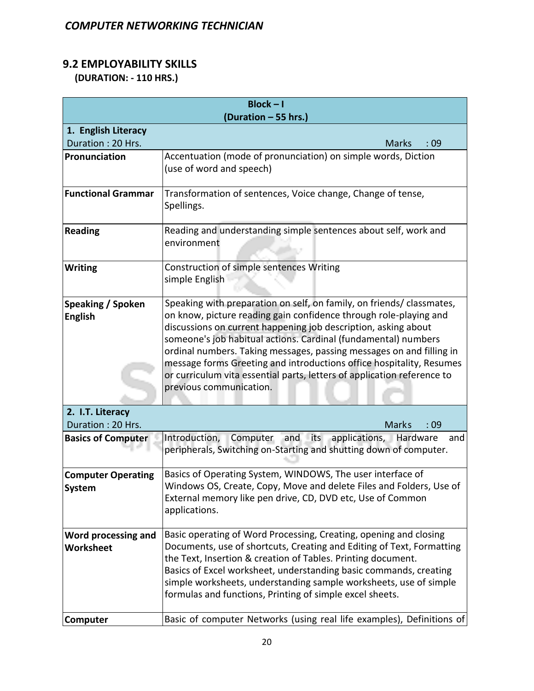# **9.2 EMPLOYABILITY SKILLS**

 **(DURATION: - 110 HRS.)**

| $Block - I$                              |                                                                                                                                            |  |
|------------------------------------------|--------------------------------------------------------------------------------------------------------------------------------------------|--|
|                                          | (Duration - 55 hrs.)                                                                                                                       |  |
| 1. English Literacy<br>Duration: 20 Hrs. | <b>Marks</b><br>:09                                                                                                                        |  |
| Pronunciation                            | Accentuation (mode of pronunciation) on simple words, Diction                                                                              |  |
|                                          | (use of word and speech)                                                                                                                   |  |
|                                          |                                                                                                                                            |  |
| <b>Functional Grammar</b>                | Transformation of sentences, Voice change, Change of tense,                                                                                |  |
|                                          | Spellings.                                                                                                                                 |  |
|                                          |                                                                                                                                            |  |
| <b>Reading</b>                           | Reading and understanding simple sentences about self, work and<br>environment                                                             |  |
|                                          |                                                                                                                                            |  |
| <b>Writing</b>                           | Construction of simple sentences Writing                                                                                                   |  |
|                                          | simple English                                                                                                                             |  |
|                                          |                                                                                                                                            |  |
| Speaking / Spoken                        | Speaking with preparation on self, on family, on friends/ classmates,<br>on know, picture reading gain confidence through role-playing and |  |
| <b>English</b>                           | discussions on current happening job description, asking about                                                                             |  |
|                                          | someone's job habitual actions. Cardinal (fundamental) numbers                                                                             |  |
|                                          | ordinal numbers. Taking messages, passing messages on and filling in                                                                       |  |
|                                          | message forms Greeting and introductions office hospitality, Resumes                                                                       |  |
|                                          | or curriculum vita essential parts, letters of application reference to                                                                    |  |
|                                          | previous communication.                                                                                                                    |  |
| 2. I.T. Literacy                         |                                                                                                                                            |  |
| Duration: 20 Hrs.                        | <b>Marks</b><br>:09                                                                                                                        |  |
| <b>Basics of Computer</b>                | Computer<br>and its applications, Hardware<br>Introduction,<br>and                                                                         |  |
|                                          | peripherals, Switching on-Starting and shutting down of computer.                                                                          |  |
|                                          |                                                                                                                                            |  |
| <b>Computer Operating</b>                | Basics of Operating System, WINDOWS, The user interface of                                                                                 |  |
| System                                   | Windows OS, Create, Copy, Move and delete Files and Folders, Use of<br>External memory like pen drive, CD, DVD etc, Use of Common          |  |
|                                          | applications.                                                                                                                              |  |
|                                          |                                                                                                                                            |  |
| Word processing and                      | Basic operating of Word Processing, Creating, opening and closing                                                                          |  |
| Worksheet                                | Documents, use of shortcuts, Creating and Editing of Text, Formatting                                                                      |  |
|                                          | the Text, Insertion & creation of Tables. Printing document.                                                                               |  |
|                                          | Basics of Excel worksheet, understanding basic commands, creating<br>simple worksheets, understanding sample worksheets, use of simple     |  |
|                                          | formulas and functions, Printing of simple excel sheets.                                                                                   |  |
|                                          |                                                                                                                                            |  |
| Computer                                 | Basic of computer Networks (using real life examples), Definitions of                                                                      |  |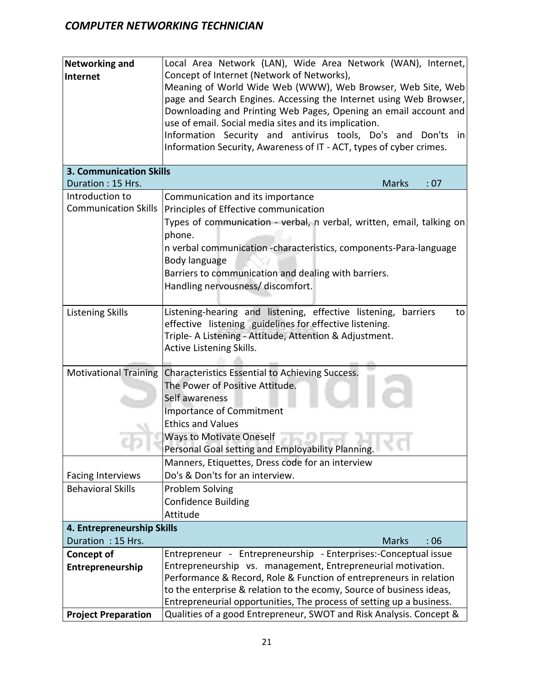| <b>Networking and</b>                                              | Local Area Network (LAN), Wide Area Network (WAN), Internet,            |  |  |
|--------------------------------------------------------------------|-------------------------------------------------------------------------|--|--|
| Internet                                                           | Concept of Internet (Network of Networks),                              |  |  |
|                                                                    | Meaning of World Wide Web (WWW), Web Browser, Web Site, Web             |  |  |
|                                                                    | page and Search Engines. Accessing the Internet using Web Browser,      |  |  |
|                                                                    | Downloading and Printing Web Pages, Opening an email account and        |  |  |
|                                                                    | use of email. Social media sites and its implication.                   |  |  |
|                                                                    | Information Security and antivirus tools, Do's and Don'ts in            |  |  |
|                                                                    | Information Security, Awareness of IT - ACT, types of cyber crimes.     |  |  |
|                                                                    |                                                                         |  |  |
| <b>3. Communication Skills</b>                                     |                                                                         |  |  |
| Duration: 15 Hrs.                                                  | <b>Marks</b><br>: 07                                                    |  |  |
| Introduction to                                                    | Communication and its importance                                        |  |  |
| <b>Communication Skills</b>                                        | Principles of Effective communication                                   |  |  |
|                                                                    | Types of communication - verbal, n verbal, written, email, talking on   |  |  |
|                                                                    | phone.                                                                  |  |  |
|                                                                    |                                                                         |  |  |
|                                                                    | n verbal communication -characteristics, components-Para-language       |  |  |
|                                                                    | Body language                                                           |  |  |
|                                                                    | Barriers to communication and dealing with barriers.                    |  |  |
|                                                                    | Handling nervousness/ discomfort.                                       |  |  |
|                                                                    |                                                                         |  |  |
| <b>Listening Skills</b>                                            | Listening-hearing and listening, effective listening,<br>barriers<br>to |  |  |
|                                                                    | effective listening guidelines for effective listening.                 |  |  |
|                                                                    | Triple- A Listening - Attitude, Attention & Adjustment.                 |  |  |
|                                                                    | Active Listening Skills.                                                |  |  |
|                                                                    |                                                                         |  |  |
| <b>Motivational Training</b>                                       | Characteristics Essential to Achieving Success.                         |  |  |
|                                                                    | The Power of Positive Attitude.                                         |  |  |
|                                                                    | Self awareness                                                          |  |  |
|                                                                    | <b>Importance of Commitment</b>                                         |  |  |
|                                                                    | <b>Ethics and Values</b>                                                |  |  |
|                                                                    | <b>Ways to Motivate Oneself</b>                                         |  |  |
|                                                                    | Personal Goal setting and Employability Planning.                       |  |  |
|                                                                    | Manners, Etiquettes, Dress code for an interview                        |  |  |
| <b>Facing Interviews</b>                                           | Do's & Don'ts for an interview.                                         |  |  |
| <b>Behavioral Skills</b>                                           | Problem Solving                                                         |  |  |
|                                                                    | <b>Confidence Building</b>                                              |  |  |
|                                                                    | Attitude                                                                |  |  |
| 4. Entrepreneurship Skills                                         |                                                                         |  |  |
| Duration: 15 Hrs.                                                  | <b>Marks</b><br>:06                                                     |  |  |
| <b>Concept of</b>                                                  | Entrepreneur - Entrepreneurship - Enterprises:-Conceptual issue         |  |  |
| Entrepreneurship                                                   | Entrepreneurship vs. management, Entrepreneurial motivation.            |  |  |
| Performance & Record, Role & Function of entrepreneurs in relation |                                                                         |  |  |
|                                                                    | to the enterprise & relation to the ecomy, Source of business ideas,    |  |  |
|                                                                    | Entrepreneurial opportunities, The process of setting up a business.    |  |  |
| <b>Project Preparation</b>                                         | Qualities of a good Entrepreneur, SWOT and Risk Analysis. Concept &     |  |  |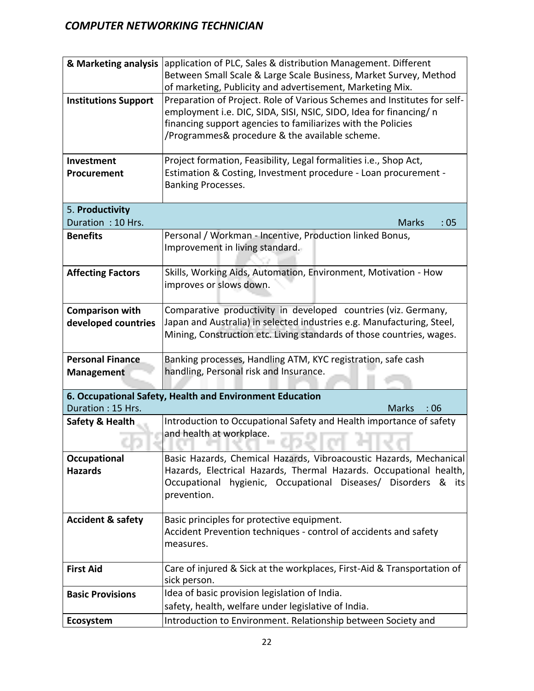| & Marketing analysis         | application of PLC, Sales & distribution Management. Different                                                                        |  |  |
|------------------------------|---------------------------------------------------------------------------------------------------------------------------------------|--|--|
|                              | Between Small Scale & Large Scale Business, Market Survey, Method                                                                     |  |  |
|                              | of marketing, Publicity and advertisement, Marketing Mix.<br>Preparation of Project. Role of Various Schemes and Institutes for self- |  |  |
| <b>Institutions Support</b>  | employment i.e. DIC, SIDA, SISI, NSIC, SIDO, Idea for financing/ n                                                                    |  |  |
|                              | financing support agencies to familiarizes with the Policies                                                                          |  |  |
|                              | /Programmes& procedure & the available scheme.                                                                                        |  |  |
|                              |                                                                                                                                       |  |  |
| <b>Investment</b>            | Project formation, Feasibility, Legal formalities i.e., Shop Act,                                                                     |  |  |
| Procurement                  | Estimation & Costing, Investment procedure - Loan procurement -                                                                       |  |  |
|                              | Banking Processes.                                                                                                                    |  |  |
| 5. Productivity              |                                                                                                                                       |  |  |
| Duration: 10 Hrs.            | <b>Marks</b><br>:05                                                                                                                   |  |  |
| <b>Benefits</b>              | Personal / Workman - Incentive, Production linked Bonus,                                                                              |  |  |
|                              | Improvement in living standard.                                                                                                       |  |  |
|                              |                                                                                                                                       |  |  |
| <b>Affecting Factors</b>     | Skills, Working Aids, Automation, Environment, Motivation - How                                                                       |  |  |
|                              | improves or slows down.                                                                                                               |  |  |
| <b>Comparison with</b>       | Comparative productivity in developed countries (viz. Germany,                                                                        |  |  |
| developed countries          | Japan and Australia) in selected industries e.g. Manufacturing, Steel,                                                                |  |  |
|                              | Mining, Construction etc. Living standards of those countries, wages.                                                                 |  |  |
|                              |                                                                                                                                       |  |  |
| <b>Personal Finance</b>      | Banking processes, Handling ATM, KYC registration, safe cash                                                                          |  |  |
| <b>Management</b>            | handling, Personal risk and Insurance.                                                                                                |  |  |
|                              | 6. Occupational Safety, Health and Environment Education                                                                              |  |  |
| Duration: 15 Hrs.            | <b>Marks</b><br>:06                                                                                                                   |  |  |
| Safety & Health              | Introduction to Occupational Safety and Health importance of safety                                                                   |  |  |
|                              | and health at workplace.                                                                                                              |  |  |
|                              |                                                                                                                                       |  |  |
| <b>Occupational</b>          | Basic Hazards, Chemical Hazards, Vibroacoustic Hazards, Mechanical                                                                    |  |  |
| <b>Hazards</b>               | Hazards, Electrical Hazards, Thermal Hazards. Occupational health,                                                                    |  |  |
|                              | hygienic, Occupational Diseases/ Disorders<br>Occupational<br>&<br>its<br>prevention.                                                 |  |  |
|                              |                                                                                                                                       |  |  |
| <b>Accident &amp; safety</b> | Basic principles for protective equipment.                                                                                            |  |  |
|                              | Accident Prevention techniques - control of accidents and safety                                                                      |  |  |
|                              | measures.                                                                                                                             |  |  |
| <b>First Aid</b>             | Care of injured & Sick at the workplaces, First-Aid & Transportation of                                                               |  |  |
|                              | sick person.                                                                                                                          |  |  |
| <b>Basic Provisions</b>      | Idea of basic provision legislation of India.                                                                                         |  |  |
|                              | safety, health, welfare under legislative of India.                                                                                   |  |  |
| Ecosystem                    | Introduction to Environment. Relationship between Society and                                                                         |  |  |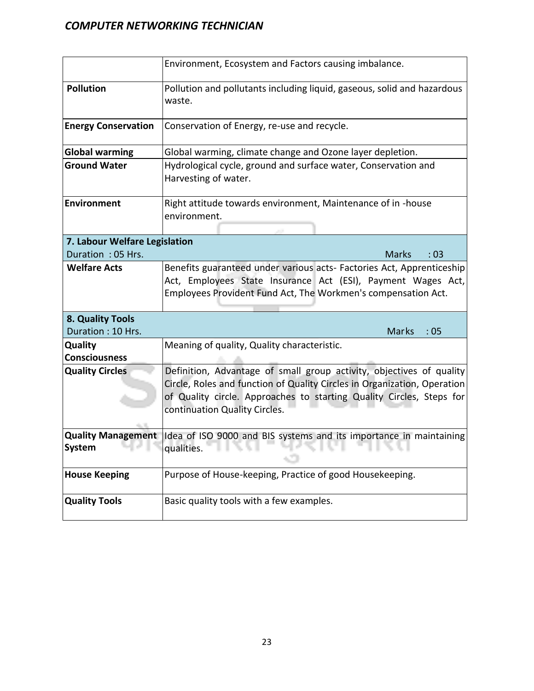|                                 | Environment, Ecosystem and Factors causing imbalance.                                                                                                                                                                                                     |  |  |
|---------------------------------|-----------------------------------------------------------------------------------------------------------------------------------------------------------------------------------------------------------------------------------------------------------|--|--|
| <b>Pollution</b>                | Pollution and pollutants including liquid, gaseous, solid and hazardous<br>waste.                                                                                                                                                                         |  |  |
| <b>Energy Conservation</b>      | Conservation of Energy, re-use and recycle.                                                                                                                                                                                                               |  |  |
| <b>Global warming</b>           | Global warming, climate change and Ozone layer depletion.                                                                                                                                                                                                 |  |  |
| <b>Ground Water</b>             | Hydrological cycle, ground and surface water, Conservation and<br>Harvesting of water.                                                                                                                                                                    |  |  |
| <b>Environment</b>              | Right attitude towards environment, Maintenance of in -house<br>environment.                                                                                                                                                                              |  |  |
| 7. Labour Welfare Legislation   |                                                                                                                                                                                                                                                           |  |  |
| Duration: 05 Hrs.               | <b>Marks</b><br>:03                                                                                                                                                                                                                                       |  |  |
| <b>Welfare Acts</b>             | Benefits guaranteed under various acts- Factories Act, Apprenticeship<br>Act, Employees State Insurance Act (ESI), Payment Wages Act,<br>Employees Provident Fund Act, The Workmen's compensation Act.                                                    |  |  |
| 8. Quality Tools                |                                                                                                                                                                                                                                                           |  |  |
| Duration: 10 Hrs.               | Marks<br>:05                                                                                                                                                                                                                                              |  |  |
| Quality<br><b>Consciousness</b> | Meaning of quality, Quality characteristic.                                                                                                                                                                                                               |  |  |
| <b>Quality Circles</b>          | Definition, Advantage of small group activity, objectives of quality<br>Circle, Roles and function of Quality Circles in Organization, Operation<br>of Quality circle. Approaches to starting Quality Circles, Steps for<br>continuation Quality Circles. |  |  |
| System                          | Quality Management Idea of ISO 9000 and BIS systems and its importance in maintaining<br>qualities.<br>u.<br>u.                                                                                                                                           |  |  |
| <b>House Keeping</b>            | Purpose of House-keeping, Practice of good Housekeeping.                                                                                                                                                                                                  |  |  |
| <b>Quality Tools</b>            | Basic quality tools with a few examples.                                                                                                                                                                                                                  |  |  |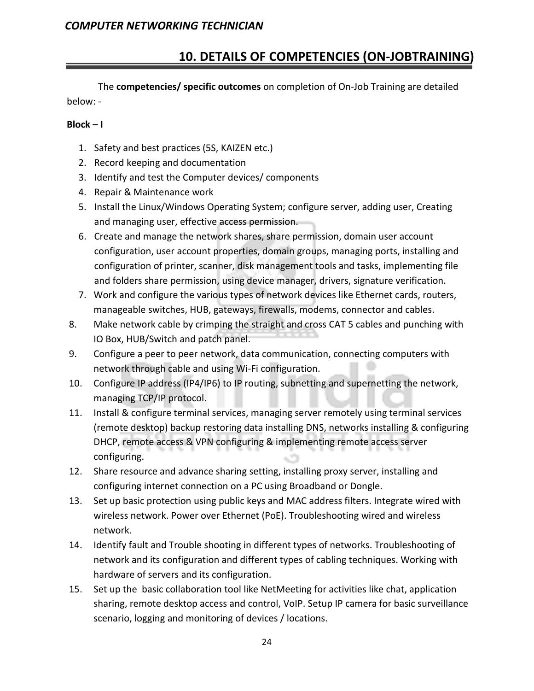# **10. DETAILS OF COMPETENCIES (ON-JOBTRAINING)**

The **competencies/ specific outcomes** on completion of On-Job Training are detailed below: -

#### **Block – I**

- 1. Safety and best practices (5S, KAIZEN etc.)
- 2. Record keeping and documentation
- 3. Identify and test the Computer devices/ components
- 4. Repair & Maintenance work
- 5. Install the Linux/Windows Operating System; configure server, adding user, Creating and managing user, effective access permission.
- 6. Create and manage the network shares, share permission, domain user account configuration, user account properties, domain groups, managing ports, installing and configuration of printer, scanner, disk management tools and tasks, implementing file and folders share permission, using device manager, drivers, signature verification.
- 7. Work and configure the various types of network devices like Ethernet cards, routers, manageable switches, HUB, gateways, firewalls, modems, connector and cables.
- 8. Make network cable by crimping the straight and cross CAT 5 cables and punching with IO Box, HUB/Switch and patch panel.
- 9. Configure a peer to peer network, data communication, connecting computers with network through cable and using Wi-Fi configuration.
- 10. Configure IP address (IP4/IP6) to IP routing, subnetting and supernetting the network, managing TCP/IP protocol.
- 11. Install & configure terminal services, managing server remotely using terminal services (remote desktop) backup restoring data installing DNS, networks installing & configuring DHCP, remote access & VPN configuring & implementing remote access server configuring.
- 12. Share resource and advance sharing setting, installing proxy server, installing and configuring internet connection on a PC using Broadband or Dongle.
- 13. Set up basic protection using public keys and MAC address filters. Integrate wired with wireless network. Power over Ethernet (PoE). Troubleshooting wired and wireless network.
- 14. Identify fault and Trouble shooting in different types of networks. Troubleshooting of network and its configuration and different types of cabling techniques. Working with hardware of servers and its configuration.
- 15. Set up the basic collaboration tool like NetMeeting for activities like chat, application sharing, remote desktop access and control, VoIP. Setup IP camera for basic surveillance scenario, logging and monitoring of devices / locations.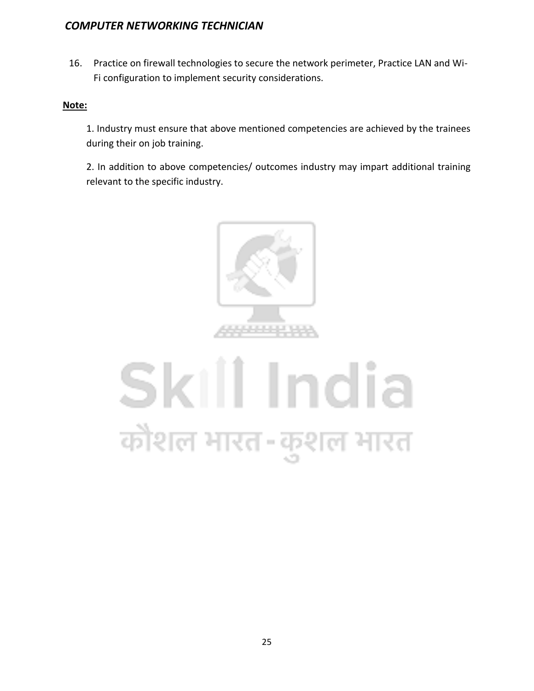16. Practice on firewall technologies to secure the network perimeter, Practice LAN and Wi-Fi configuration to implement security considerations.

#### **Note:**

1. Industry must ensure that above mentioned competencies are achieved by the trainees during their on job training.

2. In addition to above competencies/ outcomes industry may impart additional training relevant to the specific industry.



# Skill India कोशल भारत-कुशल भारत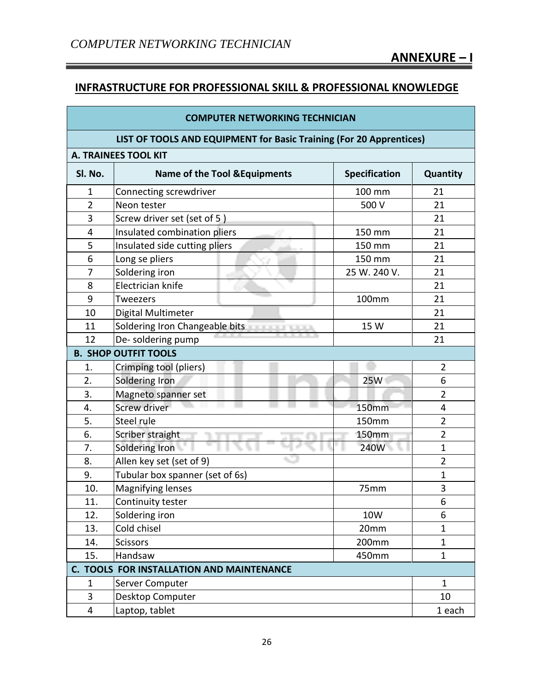a a s

# **INFRASTRUCTURE FOR PROFESSIONAL SKILL & PROFESSIONAL KNOWLEDGE**

| <b>COMPUTER NETWORKING TECHNICIAN</b>                               |                                                        |                      |                |
|---------------------------------------------------------------------|--------------------------------------------------------|----------------------|----------------|
| LIST OF TOOLS AND EQUIPMENT for Basic Training (For 20 Apprentices) |                                                        |                      |                |
|                                                                     | <b>A. TRAINEES TOOL KIT</b>                            |                      |                |
| SI. No.                                                             | <b>Name of the Tool &amp; Equipments</b>               | <b>Specification</b> | Quantity       |
| 1                                                                   | Connecting screwdriver                                 | 100 mm               | 21             |
| $\overline{2}$                                                      | Neon tester                                            | 500 V                | 21             |
| 3                                                                   | Screw driver set (set of 5)                            |                      | 21             |
| 4                                                                   | Insulated combination pliers                           | 150 mm               | 21             |
| 5                                                                   | Insulated side cutting pliers                          | 150 mm               | 21             |
| 6                                                                   | Long se pliers                                         | 150 mm               | 21             |
| 7                                                                   | Soldering iron                                         | 25 W. 240 V.         | 21             |
| 8                                                                   | Electrician knife                                      |                      | 21             |
| 9                                                                   | <b>Tweezers</b>                                        | 100mm                | 21             |
| 10                                                                  | Digital Multimeter                                     |                      | 21             |
| 11                                                                  | Soldering Iron Changeable bits<br><b>REAL PROPERTY</b> | 15 W                 | 21             |
| 12                                                                  | De-soldering pump                                      |                      | 21             |
|                                                                     | <b>B. SHOP OUTFIT TOOLS</b>                            |                      |                |
| 1.                                                                  | Crimping tool (pliers)                                 |                      | $\overline{2}$ |
| 2.                                                                  | Soldering Iron                                         | 25W                  | 6              |
| 3.                                                                  | Magneto spanner set                                    |                      | 2              |
| 4.                                                                  | <b>Screw driver</b>                                    | <b>150mm</b>         | 4              |
| 5.                                                                  | Steel rule                                             | 150mm                | $\overline{2}$ |
| 6.                                                                  | Scriber straight                                       | <b>150mm</b>         | $\overline{2}$ |
| 7.                                                                  | Soldering Iron                                         | 240W                 | 1              |
| 8.                                                                  | Allen key set (set of 9)                               |                      | $\overline{2}$ |
| 9.                                                                  | Tubular box spanner (set of 6s)                        |                      | 1              |
| 10.                                                                 | <b>Magnifying lenses</b>                               | 75mm                 | 3              |
| 11.                                                                 | Continuity tester                                      |                      | 6              |
| 12.                                                                 | Soldering iron                                         | 10W                  | 6              |
| 13.                                                                 | Cold chisel                                            | 20mm                 | $\mathbf 1$    |
| 14.                                                                 | <b>Scissors</b>                                        | 200mm                | $\mathbf{1}$   |
| 15.                                                                 | Handsaw                                                | 450mm                | $\mathbf 1$    |
| C. TOOLS FOR INSTALLATION AND MAINTENANCE                           |                                                        |                      |                |
| 1                                                                   | Server Computer                                        |                      | 1              |
| 3                                                                   | Desktop Computer                                       |                      | 10             |
| 4                                                                   | Laptop, tablet                                         |                      | 1 each         |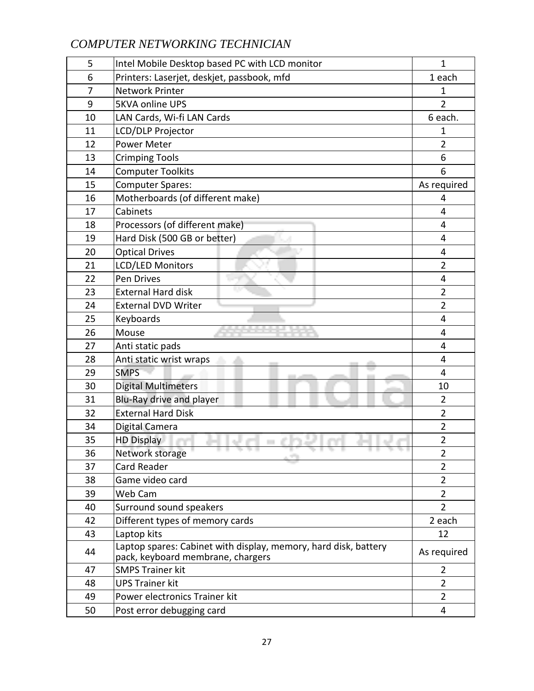| 5              | Intel Mobile Desktop based PC with LCD monitor                                                       | 1              |
|----------------|------------------------------------------------------------------------------------------------------|----------------|
| 6              | Printers: Laserjet, deskjet, passbook, mfd                                                           | 1 each         |
| $\overline{7}$ | <b>Network Printer</b>                                                                               | 1              |
| 9              | <b>5KVA online UPS</b>                                                                               | $\overline{2}$ |
| 10             | LAN Cards, Wi-fi LAN Cards                                                                           | 6 each.        |
| 11             | LCD/DLP Projector                                                                                    | 1              |
| 12             | <b>Power Meter</b>                                                                                   | $\overline{2}$ |
| 13             | <b>Crimping Tools</b>                                                                                | 6              |
| 14             | <b>Computer Toolkits</b>                                                                             | 6              |
| 15             | <b>Computer Spares:</b>                                                                              | As required    |
| 16             | Motherboards (of different make)                                                                     | 4              |
| 17             | Cabinets                                                                                             | 4              |
| 18             | Processors (of different make)                                                                       | 4              |
| 19             | Hard Disk (500 GB or better)                                                                         | 4              |
| 20             | <b>Optical Drives</b>                                                                                | 4              |
| 21             | <b>LCD/LED Monitors</b>                                                                              | $\overline{2}$ |
| 22             | Pen Drives                                                                                           | 4              |
| 23             | <b>External Hard disk</b>                                                                            | $\overline{2}$ |
| 24             | <b>External DVD Writer</b>                                                                           | $\overline{2}$ |
| 25             | Keyboards                                                                                            | 4              |
| 26             | Mouse                                                                                                | 4              |
| 27             | Anti static pads                                                                                     | 4              |
| 28             | Anti static wrist wraps                                                                              | 4              |
| 29             | <b>SMPS</b>                                                                                          | $\overline{4}$ |
| 30             | <b>Digital Multimeters</b>                                                                           | 10             |
| 31             | Blu-Ray drive and player                                                                             | $\overline{2}$ |
| 32             | <b>External Hard Disk</b>                                                                            | $\overline{2}$ |
| 34             | Digital Camera                                                                                       | $\overline{2}$ |
| 35             | <b>HD Display</b>                                                                                    | $\overline{2}$ |
| 36             | Network storage                                                                                      | $\overline{2}$ |
| 37             | Card Reader                                                                                          | 2              |
| 38             | Game video card                                                                                      | $\overline{2}$ |
| 39             | Web Cam                                                                                              | $\overline{2}$ |
| 40             | Surround sound speakers                                                                              | $\overline{2}$ |
| 42             | Different types of memory cards                                                                      | 2 each         |
| 43             | Laptop kits                                                                                          | 12             |
| 44             | Laptop spares: Cabinet with display, memory, hard disk, battery<br>pack, keyboard membrane, chargers | As required    |
| 47             | <b>SMPS Trainer kit</b>                                                                              | $\overline{2}$ |
| 48             | <b>UPS Trainer kit</b>                                                                               | $\overline{2}$ |
| 49             | Power electronics Trainer kit                                                                        | $\overline{2}$ |
| 50             | Post error debugging card                                                                            | 4              |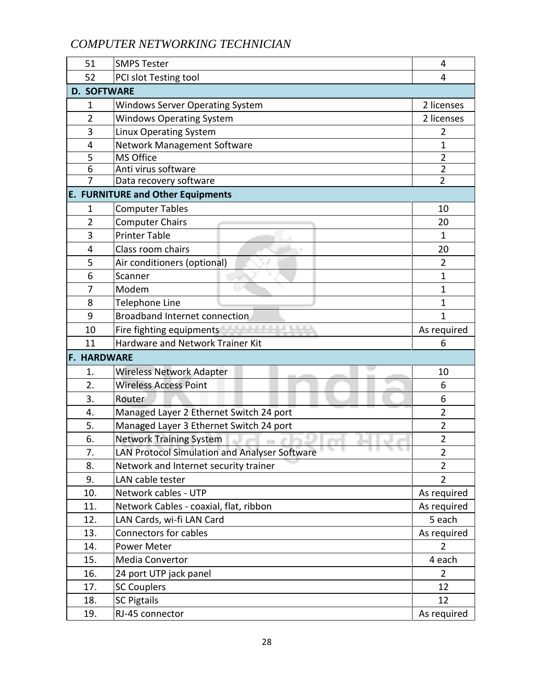| 51                                     | <b>SMPS Tester</b>                                           | 4              |
|----------------------------------------|--------------------------------------------------------------|----------------|
| 52                                     | PCI slot Testing tool                                        | 4              |
| <b>D. SOFTWARE</b>                     |                                                              |                |
| 1                                      | <b>Windows Server Operating System</b>                       | 2 licenses     |
| $\overline{2}$                         | <b>Windows Operating System</b>                              | 2 licenses     |
| 3                                      | Linux Operating System                                       | 2              |
| 4                                      | Network Management Software                                  | 1              |
| 5                                      | MS Office                                                    | 2              |
| 6                                      | Anti virus software                                          | $\overline{2}$ |
| 7                                      | Data recovery software                                       | $\overline{2}$ |
|                                        | <b>E. FURNITURE and Other Equipments</b>                     |                |
| 1                                      | <b>Computer Tables</b>                                       | 10             |
| $\overline{2}$                         | <b>Computer Chairs</b>                                       | 20             |
| 3                                      | <b>Printer Table</b>                                         | 1              |
| 4                                      | Class room chairs                                            | 20             |
| 5                                      | Air conditioners (optional)                                  | $\overline{2}$ |
| 6                                      | Scanner                                                      | 1              |
| 7                                      | Modem                                                        | 1              |
| 8                                      | Telephone Line                                               | 1              |
| 9                                      | <b>Broadband Internet connection</b>                         | 1              |
| 10                                     | <u> 1955 - 1955 - 1955 - 195</u><br>Fire fighting equipments | As required    |
| Hardware and Network Trainer Kit<br>11 |                                                              | 6              |
| <b>F. HARDWARE</b>                     |                                                              |                |
| 1.                                     | <b>Wireless Network Adapter</b>                              | 10             |
| $\overline{2}$ .                       | <b>Wireless Access Point</b>                                 | 6              |
| 3.                                     | Router                                                       | 6              |
| 4.                                     | Managed Layer 2 Ethernet Switch 24 port                      | $\overline{2}$ |
| 5.                                     | Managed Layer 3 Ethernet Switch 24 port                      | $\overline{2}$ |
| 6.                                     | <b>Network Training System</b>                               | $\overline{2}$ |
| 7.                                     | LAN Protocol Simulation and Analyser Software                | $\overline{2}$ |
| 8.                                     | Network and Internet security trainer                        | $\overline{2}$ |
| 9.                                     | LAN cable tester                                             | $\overline{2}$ |
| 10.                                    | Network cables - UTP                                         | As required    |
| 11.                                    | Network Cables - coaxial, flat, ribbon                       | As required    |
| 12.                                    | LAN Cards, wi-fi LAN Card                                    | 5 each         |
| 13.                                    | <b>Connectors for cables</b>                                 | As required    |
| 14.                                    | Power Meter                                                  | $\overline{2}$ |
| 15.                                    | Media Convertor                                              | 4 each         |
| 16.                                    | 24 port UTP jack panel                                       | $\overline{2}$ |
| 17.                                    | <b>SC Couplers</b>                                           | 12             |
| 18.                                    | <b>SC Pigtails</b>                                           | 12             |
| 19.                                    | RJ-45 connector                                              | As required    |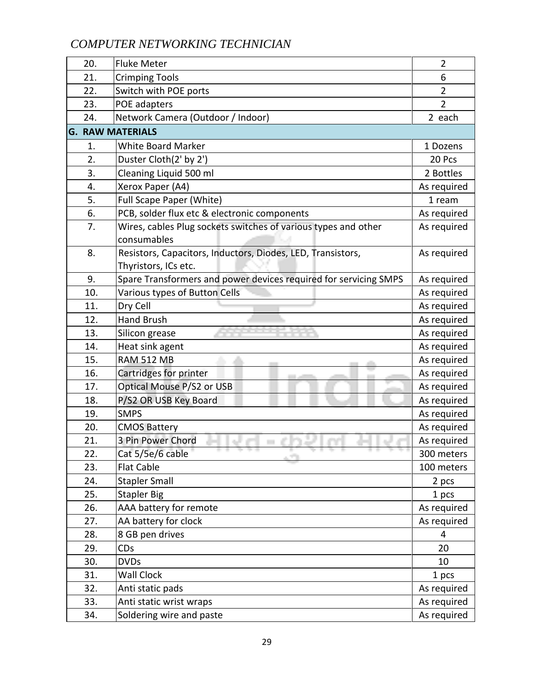| 20. | <b>Fluke Meter</b>                                               | $\overline{2}$ |
|-----|------------------------------------------------------------------|----------------|
| 21. | <b>Crimping Tools</b>                                            | 6              |
| 22. | Switch with POE ports                                            | $\overline{2}$ |
| 23. | POE adapters                                                     | $\overline{2}$ |
| 24. | Network Camera (Outdoor / Indoor)                                | 2 each         |
|     | <b>G. RAW MATERIALS</b>                                          |                |
| 1.  | <b>White Board Marker</b>                                        | 1 Dozens       |
| 2.  | Duster Cloth(2' by 2')                                           | 20 Pcs         |
| 3.  | Cleaning Liquid 500 ml                                           | 2 Bottles      |
| 4.  | Xerox Paper (A4)                                                 | As required    |
| 5.  | Full Scape Paper (White)                                         | 1 ream         |
| 6.  | PCB, solder flux etc & electronic components                     | As required    |
| 7.  | Wires, cables Plug sockets switches of various types and other   | As required    |
|     | consumables                                                      |                |
| 8.  | Resistors, Capacitors, Inductors, Diodes, LED, Transistors,      | As required    |
|     | Thyristors, ICs etc.                                             |                |
| 9.  | Spare Transformers and power devices required for servicing SMPS | As required    |
| 10. | Various types of Button Cells                                    | As required    |
| 11. | Dry Cell                                                         | As required    |
| 12. | <b>Hand Brush</b>                                                | As required    |
| 13. | Silicon grease                                                   | As required    |
| 14. | Heat sink agent                                                  | As required    |
| 15. | <b>RAM 512 MB</b>                                                | As required    |
| 16. | Cartridges for printer                                           | As required    |
| 17. | Optical Mouse P/S2 or USB                                        | As required    |
| 18. | P/S2 OR USB Key Board                                            | As required    |
| 19. | <b>SMPS</b>                                                      | As required    |
| 20. | <b>CMOS Battery</b>                                              | As required    |
| 21. | 3 Pin Power Chord                                                | As required    |
| 22. | Cat 5/5e/6 cable<br>a Tin                                        | 300 meters     |
| 23. | <b>Flat Cable</b>                                                | 100 meters     |
| 24. | <b>Stapler Small</b>                                             | 2 pcs          |
| 25. | <b>Stapler Big</b>                                               | 1 pcs          |
| 26. | AAA battery for remote                                           | As required    |
| 27. | AA battery for clock                                             | As required    |
| 28. | 8 GB pen drives                                                  | 4              |
| 29. | CDs                                                              | 20             |
| 30. | <b>DVDs</b>                                                      | 10             |
| 31. | <b>Wall Clock</b>                                                | 1 pcs          |
| 32. | Anti static pads                                                 | As required    |
| 33. | Anti static wrist wraps                                          | As required    |
| 34. | Soldering wire and paste                                         | As required    |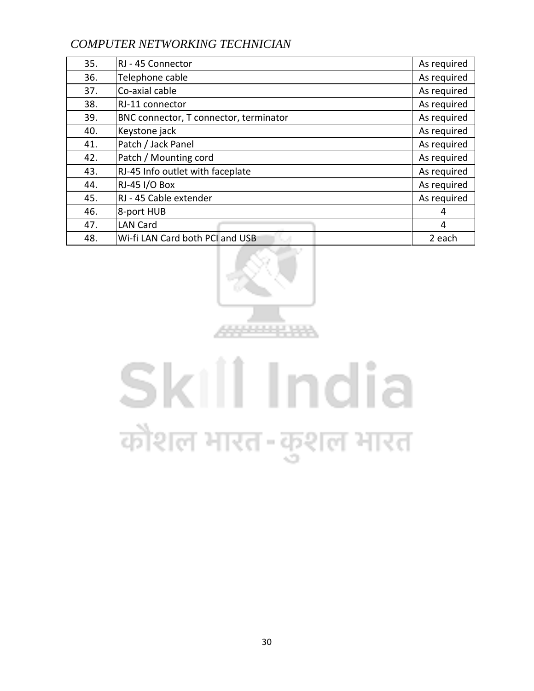| 35. | RJ - 45 Connector                      | As required |
|-----|----------------------------------------|-------------|
| 36. | Telephone cable                        | As required |
| 37. | Co-axial cable                         | As required |
| 38. | RJ-11 connector                        | As required |
| 39. | BNC connector, T connector, terminator | As required |
| 40. | Keystone jack                          | As required |
| 41. | Patch / Jack Panel                     | As required |
| 42. | Patch / Mounting cord                  | As required |
| 43. | RJ-45 Info outlet with faceplate       | As required |
| 44. | RJ-45 I/O Box                          | As required |
| 45. | RJ - 45 Cable extender                 | As required |
| 46. | 8-port HUB                             | 4           |
| 47. | <b>LAN Card</b>                        | 4           |
| 48. | Wi-fi LAN Card both PCI and USB        | 2 each      |



# Skill India कौशल भारत-कुशल भारत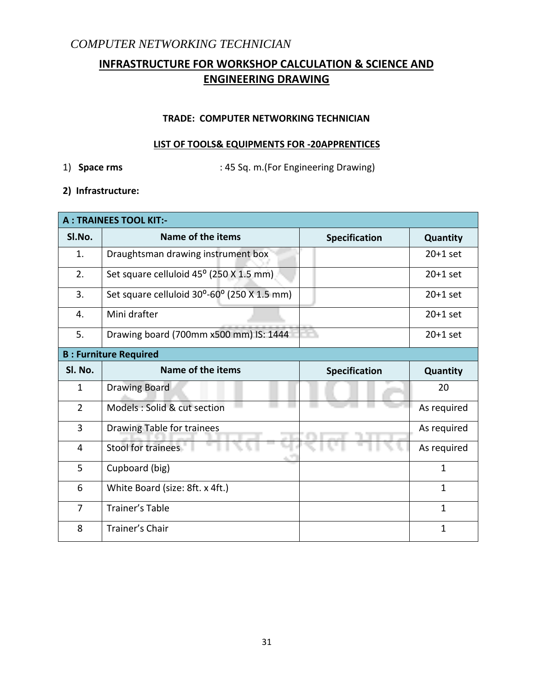# **INFRASTRUCTURE FOR WORKSHOP CALCULATION & SCIENCE AND ENGINEERING DRAWING**

#### **TRADE: COMPUTER NETWORKING TECHNICIAN**

#### **LIST OF TOOLS& EQUIPMENTS FOR -20APPRENTICES**

1) **Space rms** : 45 Sq. m.(For Engineering Drawing)

**2) Infrastructure:** 

| <b>A: TRAINEES TOOL KIT:-</b> |                                             |                      |              |  |
|-------------------------------|---------------------------------------------|----------------------|--------------|--|
| SI.No.                        | Name of the items                           | <b>Specification</b> | Quantity     |  |
| 1.                            | Draughtsman drawing instrument box          |                      | $20+1$ set   |  |
| 2.                            | Set square celluloid 45° (250 X 1.5 mm)     |                      | $20+1$ set   |  |
| 3.                            | Set square celluloid 30°-60° (250 X 1.5 mm) |                      | $20+1$ set   |  |
| 4.                            | Mini drafter                                |                      | $20+1$ set   |  |
| 5.                            | Drawing board (700mm x500 mm) IS: 1444      |                      | $20+1$ set   |  |
|                               | <b>B: Furniture Required</b>                |                      |              |  |
| Sl. No.                       | Name of the items                           | <b>Specification</b> | Quantity     |  |
| $\mathbf{1}$                  | <b>Drawing Board</b>                        |                      | 20           |  |
| $\overline{2}$                | Models : Solid & cut section                |                      | As required  |  |
| 3                             | Drawing Table for trainees                  |                      | As required  |  |
| 4                             | Stool for trainees                          |                      | As required  |  |
| 5                             | Cupboard (big)                              |                      | $\mathbf{1}$ |  |
| 6                             | White Board (size: 8ft. x 4ft.)             |                      | $\mathbf{1}$ |  |
| 7                             | <b>Trainer's Table</b>                      |                      | $\mathbf{1}$ |  |
| 8                             | Trainer's Chair                             |                      | $\mathbf{1}$ |  |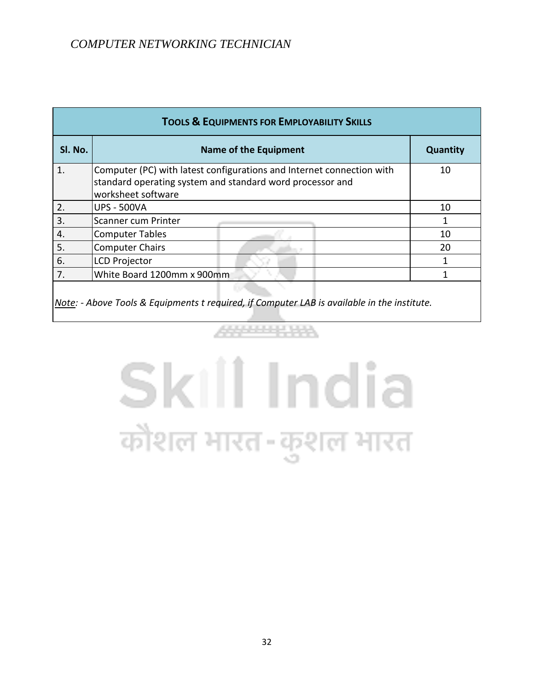| <b>TOOLS &amp; EQUIPMENTS FOR EMPLOYABILITY SKILLS</b> |                                                                                                                                                          |          |  |  |  |  |  |  |  |  |
|--------------------------------------------------------|----------------------------------------------------------------------------------------------------------------------------------------------------------|----------|--|--|--|--|--|--|--|--|
| Sl. No.                                                | <b>Name of the Equipment</b>                                                                                                                             | Quantity |  |  |  |  |  |  |  |  |
| $\mathbf{1}$ .                                         | Computer (PC) with latest configurations and Internet connection with<br>standard operating system and standard word processor and<br>worksheet software | 10       |  |  |  |  |  |  |  |  |
| 2.                                                     | <b>UPS - 500VA</b>                                                                                                                                       | 10       |  |  |  |  |  |  |  |  |
| 3.                                                     | Scanner cum Printer                                                                                                                                      | 1        |  |  |  |  |  |  |  |  |
| 4.                                                     | <b>Computer Tables</b>                                                                                                                                   | 10       |  |  |  |  |  |  |  |  |
| 5.                                                     | <b>Computer Chairs</b>                                                                                                                                   | 20       |  |  |  |  |  |  |  |  |
| 6.                                                     | <b>LCD Projector</b>                                                                                                                                     |          |  |  |  |  |  |  |  |  |
| 7.                                                     | White Board 1200mm x 900mm                                                                                                                               |          |  |  |  |  |  |  |  |  |
|                                                        |                                                                                                                                                          |          |  |  |  |  |  |  |  |  |

*Note: - Above Tools & Equipments t required, if Computer LAB is available in the institute.*

# Skill India कौशल भारत-कुशल भारत

444444444